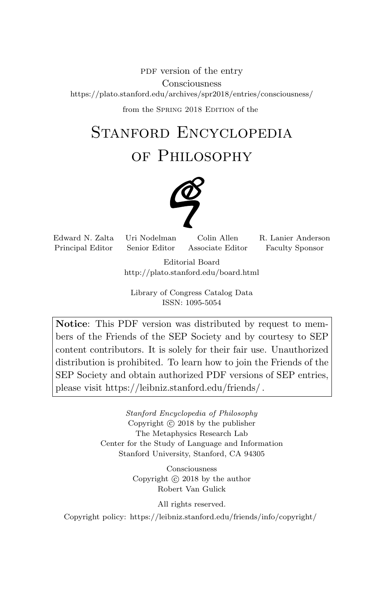PDF version of the entry Consciousness https://plato.stanford.edu/archives/spr2018/entries/consciousness/

from the SPRING 2018 EDITION of the

# Stanford Encyclopedia

of Philosophy



Principal Editor Senior Editor Associate Editor Faculty Sponsor

Edward N. Zalta Uri Nodelman Colin Allen R. Lanier Anderson

Editorial Board http://plato.stanford.edu/board.html

Library of Congress Catalog Data ISSN: 1095-5054

Notice: This PDF version was distributed by request to members of the Friends of the SEP Society and by courtesy to SEP content contributors. It is solely for their fair use. Unauthorized distribution is prohibited. To learn how to join the Friends of the SEP Society and obtain authorized PDF versions of SEP entries, please visit https://leibniz.stanford.edu/friends/ .

> Stanford Encyclopedia of Philosophy Copyright  $\odot$  2018 by the publisher The Metaphysics Research Lab Center for the Study of Language and Information Stanford University, Stanford, CA 94305

> > Consciousness Copyright  $\odot$  2018 by the author Robert Van Gulick

> > > All rights reserved.

Copyright policy: https://leibniz.stanford.edu/friends/info/copyright/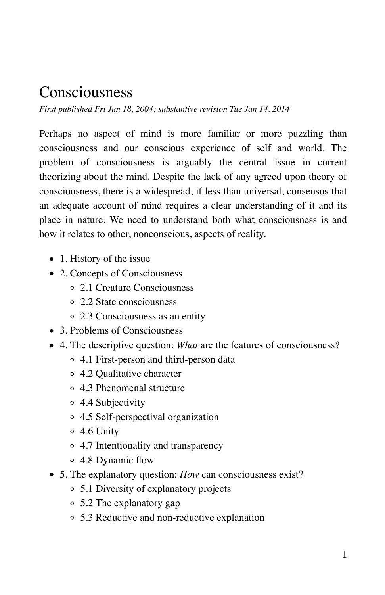### Consciousness

*First published Fri Jun 18, 2004; substantive revision Tue Jan 14, 2014*

Perhaps no aspect of mind is more familiar or more puzzling than consciousness and our conscious experience of self and world. The problem of consciousness is arguably the central issue in current theorizing about the mind. Despite the lack of any agreed upon theory of consciousness, there is a widespread, if less than universal, consensus that an adequate account of mind requires a clear understanding of it and its place in nature. We need to understand both what consciousness is and how it relates to other, nonconscious, aspects of reality.

- 1. History of the issue
- 2. Concepts of Consciousness
	- 2.1 Creature Consciousness
	- 2.2 State consciousness
	- 2.3 Consciousness as an entity
- 3. Problems of Consciousness
- 4. The descriptive question: *What* are the features of consciousness?
	- 4.1 First-person and third-person data
	- 4.2 Qualitative character
	- 4.3 Phenomenal structure
	- 4.4 Subjectivity
	- 4.5 Self-perspectival organization
	- 4.6 Unity
	- 4.7 Intentionality and transparency
	- 4.8 Dynamic flow
- 5. The explanatory question: *How* can consciousness exist?
	- 5.1 Diversity of explanatory projects
	- 5.2 The explanatory gap
	- 5.3 Reductive and non-reductive explanation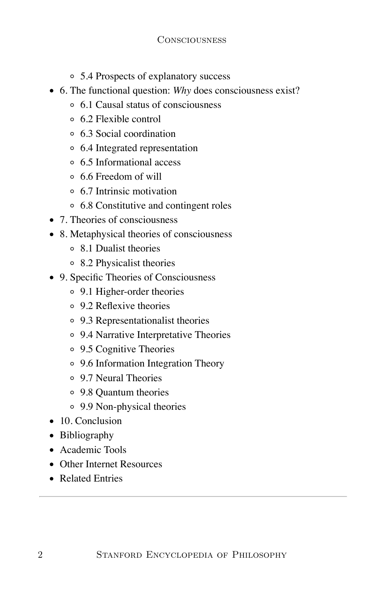- 5.4 Prospects of explanatory success
- 6. The functional question: *Why* does consciousness exist?
	- 6.1 Causal status of consciousness
	- 6.2 Flexible control
	- 6.3 Social coordination
	- 6.4 Integrated representation
	- 6.5 Informational access
	- 6.6 Freedom of will
	- 6.7 Intrinsic motivation
	- 6.8 Constitutive and contingent roles
- 7. Theories of consciousness
- 8. Metaphysical theories of consciousness
	- 8.1 Dualist theories
	- 8.2 Physicalist theories
- 9. Specific Theories of Consciousness
	- 9.1 Higher-order theories
	- 9.2 Reflexive theories
	- 9.3 Representationalist theories
	- 9.4 Narrative Interpretative Theories
	- 9.5 Cognitive Theories
	- 9.6 Information Integration Theory
	- 9.7 Neural Theories
	- 9.8 Quantum theories
	- 9.9 Non-physical theories
- 10. Conclusion
- Bibliography
- Academic Tools
- Other Internet Resources
- Related Entries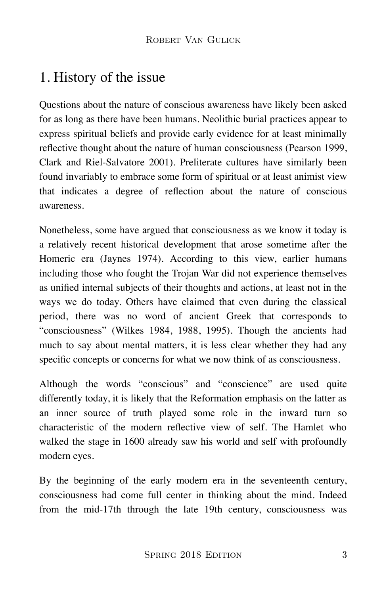### 1. History of the issue

Questions about the nature of conscious awareness have likely been asked for as long as there have been humans. Neolithic burial practices appear to express spiritual beliefs and provide early evidence for at least minimally reflective thought about the nature of human consciousness (Pearson 1999, Clark and Riel-Salvatore 2001). Preliterate cultures have similarly been found invariably to embrace some form of spiritual or at least animist view that indicates a degree of reflection about the nature of conscious awareness.

Nonetheless, some have argued that consciousness as we know it today is a relatively recent historical development that arose sometime after the Homeric era (Jaynes 1974). According to this view, earlier humans including those who fought the Trojan War did not experience themselves as unified internal subjects of their thoughts and actions, at least not in the ways we do today. Others have claimed that even during the classical period, there was no word of ancient Greek that corresponds to "consciousness" (Wilkes 1984, 1988, 1995). Though the ancients had much to say about mental matters, it is less clear whether they had any specific concepts or concerns for what we now think of as consciousness.

Although the words "conscious" and "conscience" are used quite differently today, it is likely that the Reformation emphasis on the latter as an inner source of truth played some role in the inward turn so characteristic of the modern reflective view of self. The Hamlet who walked the stage in 1600 already saw his world and self with profoundly modern eyes.

By the beginning of the early modern era in the seventeenth century, consciousness had come full center in thinking about the mind. Indeed from the mid-17th through the late 19th century, consciousness was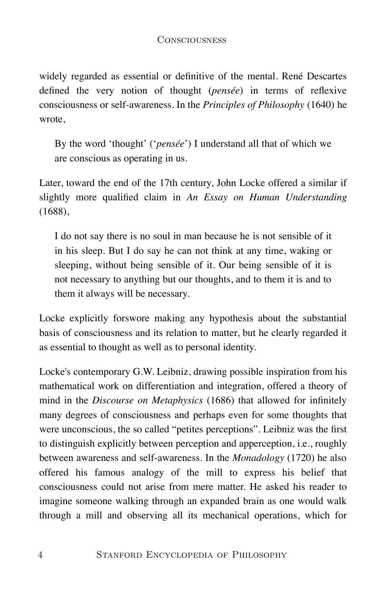widely regarded as essential or definitive of the mental. René Descartes defined the very notion of thought (*pensée*) in terms of reflexive consciousness or self-awareness. In the *Principles of Philosophy* (1640) he wrote,

By the word 'thought' ('*pensée*') I understand all that of which we are conscious as operating in us.

Later, toward the end of the 17th century, John Locke offered a similar if slightly more qualified claim in *An Essay on Human Understanding* (1688),

I do not say there is no soul in man because he is not sensible of it in his sleep. But I do say he can not think at any time, waking or sleeping, without being sensible of it. Our being sensible of it is not necessary to anything but our thoughts, and to them it is and to them it always will be necessary.

Locke explicitly forswore making any hypothesis about the substantial basis of consciousness and its relation to matter, but he clearly regarded it as essential to thought as well as to personal identity.

Locke's contemporary G.W. Leibniz, drawing possible inspiration from his mathematical work on differentiation and integration, offered a theory of mind in the *Discourse on Metaphysics* (1686) that allowed for infinitely many degrees of consciousness and perhaps even for some thoughts that were unconscious, the so called "petites perceptions". Leibniz was the first to distinguish explicitly between perception and apperception, i.e., roughly between awareness and self-awareness. In the *Monadology* (1720) he also offered his famous analogy of the mill to express his belief that consciousness could not arise from mere matter. He asked his reader to imagine someone walking through an expanded brain as one would walk through a mill and observing all its mechanical operations, which for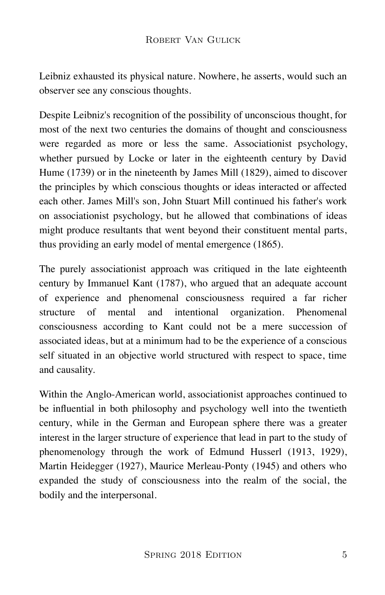Leibniz exhausted its physical nature. Nowhere, he asserts, would such an observer see any conscious thoughts.

Despite Leibniz's recognition of the possibility of unconscious thought, for most of the next two centuries the domains of thought and consciousness were regarded as more or less the same. Associationist psychology, whether pursued by Locke or later in the eighteenth century by David Hume (1739) or in the nineteenth by James Mill (1829), aimed to discover the principles by which conscious thoughts or ideas interacted or affected each other. James Mill's son, John Stuart Mill continued his father's work on associationist psychology, but he allowed that combinations of ideas might produce resultants that went beyond their constituent mental parts, thus providing an early model of mental emergence (1865).

The purely associationist approach was critiqued in the late eighteenth century by Immanuel Kant (1787), who argued that an adequate account of experience and phenomenal consciousness required a far richer structure of mental and intentional organization. Phenomenal consciousness according to Kant could not be a mere succession of associated ideas, but at a minimum had to be the experience of a conscious self situated in an objective world structured with respect to space, time and causality.

Within the Anglo-American world, associationist approaches continued to be influential in both philosophy and psychology well into the twentieth century, while in the German and European sphere there was a greater interest in the larger structure of experience that lead in part to the study of phenomenology through the work of Edmund Husserl (1913, 1929), Martin Heidegger (1927), Maurice Merleau-Ponty (1945) and others who expanded the study of consciousness into the realm of the social, the bodily and the interpersonal.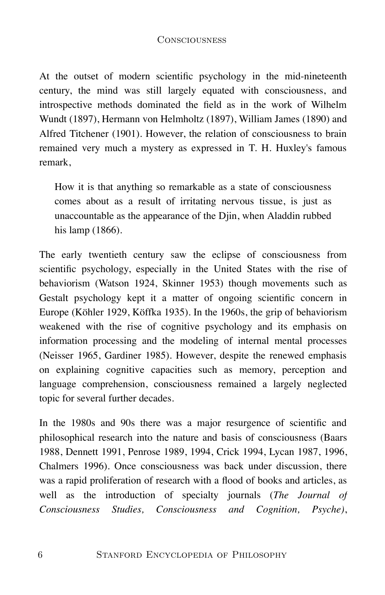At the outset of modern scientific psychology in the mid-nineteenth century, the mind was still largely equated with consciousness, and introspective methods dominated the field as in the work of Wilhelm Wundt (1897), Hermann von Helmholtz (1897), William James (1890) and Alfred Titchener (1901). However, the relation of consciousness to brain remained very much a mystery as expressed in T. H. Huxley's famous remark, CONSCIOUSNESS<br>the outset of modern scientific psychc<br>tury, the mind was still largely equate<br>ospective methods dominated the field<br>ndt (1897), Hermann von Helmholtz (189<br>red Titchener (1901). However, the relati<br>ained very

How it is that anything so remarkable as a state of consciousness comes about as a result of irritating nervous tissue, is just as unaccountable as the appearance of the Djin, when Aladdin rubbed

The early twentieth century saw the eclipse of consciousness from scientific psychology, especially in the United States with the rise of behaviorism (Watson 1924, Skinner 1953) though movements such as Gestalt psychology kept it a matter of ongoing scientific concern in Europe (Köhler 1929, Köffka 1935). In the 1960s, the grip of behaviorism weakened with the rise of cognitive psychology and its emphasis on information processing and the modeling of internal mental processes (Neisser 1965, Gardiner 1985). However, despite the renewed emphasis on explaining cognitive capacities such as memory, perception and language comprehension, consciousness remained a largely neglected topic for several further decades.

In the 1980s and 90s there was a major resurgence of scientific and philosophical research into the nature and basis of consciousness (Baars 1988, Dennett 1991, Penrose 1989, 1994, Crick 1994, Lycan 1987, 1996, Chalmers 1996). Once consciousness was back under discussion, there was a rapid proliferation of research with a flood of books and articles, as well as the introduction of specialty journals (*The Journal of Consciousness Studies, Consciousness and Cognition, Psyche)*,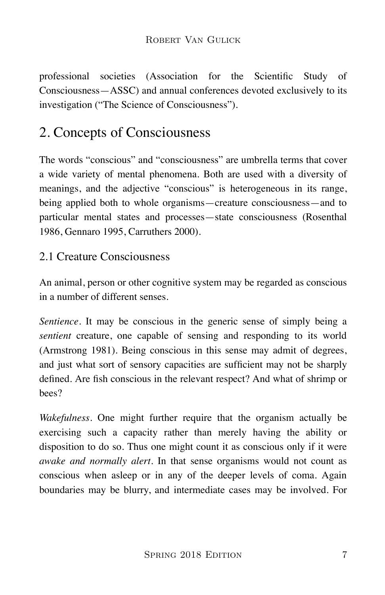professional societies (Association for the Scientific Study of Consciousness—ASSC) and annual conferences devoted exclusively to its investigation ("The Science of Consciousness").

## 2. Concepts of Consciousness

The words "conscious" and "consciousness" are umbrella terms that cover a wide variety of mental phenomena. Both are used with a diversity of meanings, and the adjective "conscious" is heterogeneous in its range, being applied both to whole organisms—creature consciousness—and to particular mental states and processes—state consciousness (Rosenthal 1986, Gennaro 1995, Carruthers 2000).

### 2.1 Creature Consciousness

An animal, person or other cognitive system may be regarded as conscious in a number of different senses.

*Sentience.* It may be conscious in the generic sense of simply being a *sentient* creature, one capable of sensing and responding to its world (Armstrong 1981). Being conscious in this sense may admit of degrees, and just what sort of sensory capacities are sufficient may not be sharply defined. Are fish conscious in the relevant respect? And what of shrimp or bees?

*Wakefulness.* One might further require that the organism actually be exercising such a capacity rather than merely having the ability or disposition to do so. Thus one might count it as conscious only if it were *awake and normally alert.* In that sense organisms would not count as conscious when asleep or in any of the deeper levels of coma. Again boundaries may be blurry, and intermediate cases may be involved. For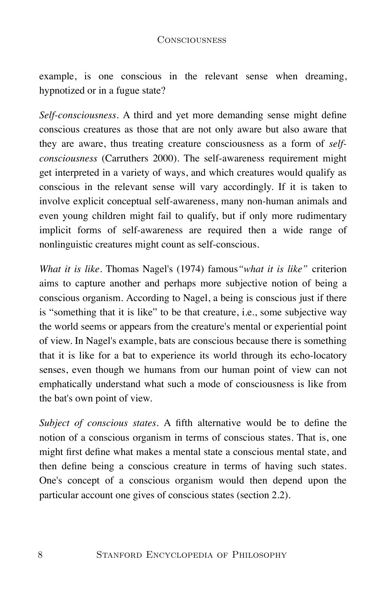example, is one conscious in the relevant sense when dreaming, hypnotized or in a fugue state?

*Self-consciousness.* A third and yet more demanding sense might define conscious creatures as those that are not only aware but also aware that they are aware, thus treating creature consciousness as a form of *selfconsciousness* (Carruthers 2000). The self-awareness requirement might get interpreted in a variety of ways, and which creatures would qualify as conscious in the relevant sense will vary accordingly. If it is taken to involve explicit conceptual self-awareness, many non-human animals and even young children might fail to qualify, but if only more rudimentary implicit forms of self-awareness are required then a wide range of nonlinguistic creatures might count as self-conscious.

*What it is like.* Thomas Nagel's (1974) famous*"what it is like"* criterion aims to capture another and perhaps more subjective notion of being a conscious organism. According to Nagel, a being is conscious just if there is "something that it is like" to be that creature, i.e., some subjective way the world seems or appears from the creature's mental or experiential point of view. In Nagel's example, bats are conscious because there is something that it is like for a bat to experience its world through its echo-locatory senses, even though we humans from our human point of view can not emphatically understand what such a mode of consciousness is like from the bat's own point of view.

*Subject of conscious states.* A fifth alternative would be to define the notion of a conscious organism in terms of conscious states. That is, one might first define what makes a mental state a conscious mental state, and then define being a conscious creature in terms of having such states. One's concept of a conscious organism would then depend upon the particular account one gives of conscious states (section 2.2).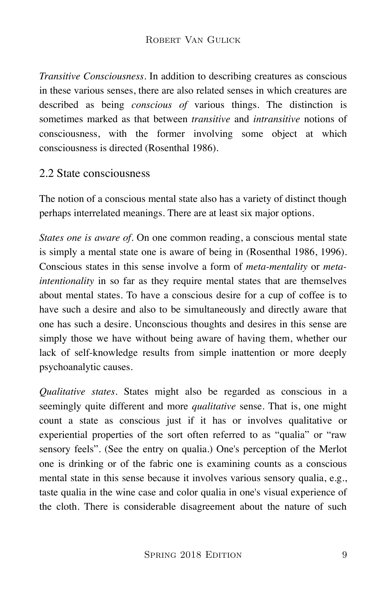*Transitive Consciousness.* In addition to describing creatures as conscious in these various senses, there are also related senses in which creatures are described as being *conscious of* various things. The distinction is sometimes marked as that between *transitive* and *intransitive* notions of consciousness, with the former involving some object at which consciousness is directed (Rosenthal 1986).

### 2.2 State consciousness

The notion of a conscious mental state also has a variety of distinct though perhaps interrelated meanings. There are at least six major options.

*States one is aware of.* On one common reading, a conscious mental state is simply a mental state one is aware of being in (Rosenthal 1986, 1996). Conscious states in this sense involve a form of *meta-mentality* or *metaintentionality* in so far as they require mental states that are themselves about mental states. To have a conscious desire for a cup of coffee is to have such a desire and also to be simultaneously and directly aware that one has such a desire. Unconscious thoughts and desires in this sense are simply those we have without being aware of having them, whether our lack of self-knowledge results from simple inattention or more deeply psychoanalytic causes.

*Qualitative states.* States might also be regarded as conscious in a seemingly quite different and more *qualitative* sense. That is, one might count a state as conscious just if it has or involves qualitative or experiential properties of the sort often referred to as "qualia" or "raw sensory feels". (See the entry on qualia.) One's perception of the Merlot one is drinking or of the fabric one is examining counts as a conscious mental state in this sense because it involves various sensory qualia, e.g., taste qualia in the wine case and color qualia in one's visual experience of the cloth. There is considerable disagreement about the nature of such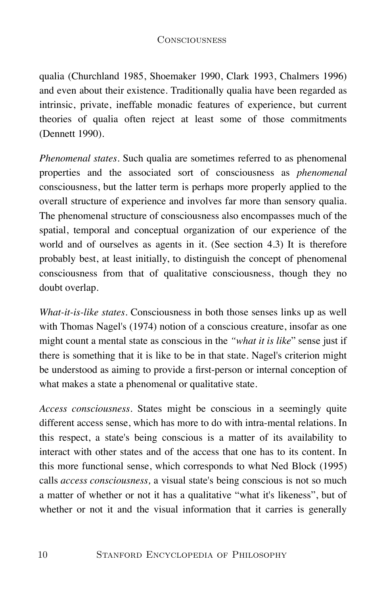qualia (Churchland 1985, Shoemaker 1990, Clark 1993, Chalmers 1996) and even about their existence. Traditionally qualia have been regarded as intrinsic, private, ineffable monadic features of experience, but current theories of qualia often reject at least some of those commitments (Dennett 1990).

*Phenomenal states.* Such qualia are sometimes referred to as phenomenal properties and the associated sort of consciousness as *phenomenal* consciousness, but the latter term is perhaps more properly applied to the overall structure of experience and involves far more than sensory qualia. The phenomenal structure of consciousness also encompasses much of the spatial, temporal and conceptual organization of our experience of the world and of ourselves as agents in it. (See section 4.3) It is therefore probably best, at least initially, to distinguish the concept of phenomenal consciousness from that of qualitative consciousness, though they no doubt overlap.

*What-it-is-like states.* Consciousness in both those senses links up as well with Thomas Nagel's (1974) notion of a conscious creature, insofar as one might count a mental state as conscious in the *"what it is like*" sense just if there is something that it is like to be in that state. Nagel's criterion might be understood as aiming to provide a first-person or internal conception of what makes a state a phenomenal or qualitative state.

*Access consciousness.* States might be conscious in a seemingly quite different access sense, which has more to do with intra-mental relations. In this respect, a state's being conscious is a matter of its availability to interact with other states and of the access that one has to its content. In this more functional sense, which corresponds to what Ned Block (1995) calls *access consciousness,* a visual state's being conscious is not so much a matter of whether or not it has a qualitative "what it's likeness", but of whether or not it and the visual information that it carries is generally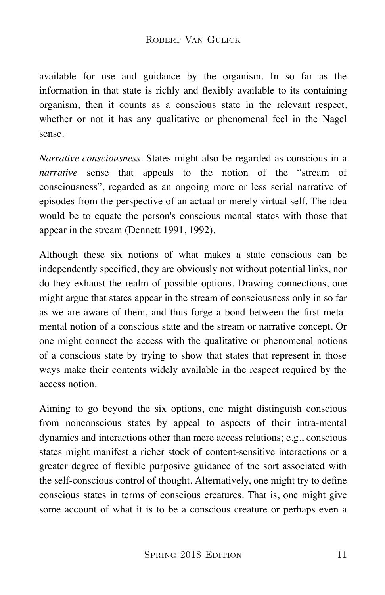#### ROBERT VAN GULICK

available for use and guidance by the organism. In so far as the information in that state is richly and flexibly available to its containing organism, then it counts as a conscious state in the relevant respect, whether or not it has any qualitative or phenomenal feel in the Nagel sense.

*Narrative consciousness.* States might also be regarded as conscious in a *narrative* sense that appeals to the notion of the "stream of consciousness", regarded as an ongoing more or less serial narrative of episodes from the perspective of an actual or merely virtual self. The idea would be to equate the person's conscious mental states with those that appear in the stream (Dennett 1991, 1992).

Although these six notions of what makes a state conscious can be independently specified, they are obviously not without potential links, nor do they exhaust the realm of possible options. Drawing connections, one might argue that states appear in the stream of consciousness only in so far as we are aware of them, and thus forge a bond between the first metamental notion of a conscious state and the stream or narrative concept. Or one might connect the access with the qualitative or phenomenal notions of a conscious state by trying to show that states that represent in those ways make their contents widely available in the respect required by the access notion.

Aiming to go beyond the six options, one might distinguish conscious from nonconscious states by appeal to aspects of their intra-mental dynamics and interactions other than mere access relations; e.g., conscious states might manifest a richer stock of content-sensitive interactions or a greater degree of flexible purposive guidance of the sort associated with the self-conscious control of thought. Alternatively, one might try to define conscious states in terms of conscious creatures. That is, one might give some account of what it is to be a conscious creature or perhaps even a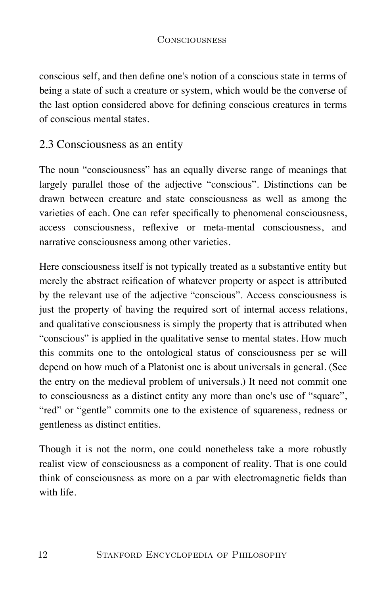conscious self, and then define one's notion of a conscious state in terms of being a state of such a creature or system, which would be the converse of the last option considered above for defining conscious creatures in terms of conscious mental states.

### 2.3 Consciousness as an entity

The noun "consciousness" has an equally diverse range of meanings that largely parallel those of the adjective "conscious". Distinctions can be drawn between creature and state consciousness as well as among the varieties of each. One can refer specifically to phenomenal consciousness, access consciousness, reflexive or meta-mental consciousness, and narrative consciousness among other varieties.

Here consciousness itself is not typically treated as a substantive entity but merely the abstract reification of whatever property or aspect is attributed by the relevant use of the adjective "conscious". Access consciousness is just the property of having the required sort of internal access relations, and qualitative consciousness is simply the property that is attributed when "conscious" is applied in the qualitative sense to mental states. How much this commits one to the ontological status of consciousness per se will depend on how much of a Platonist one is about universals in general. (See the entry on the medieval problem of universals.) It need not commit one to consciousness as a distinct entity any more than one's use of "square", "red" or "gentle" commits one to the existence of squareness, redness or gentleness as distinct entities.

Though it is not the norm, one could nonetheless take a more robustly realist view of consciousness as a component of reality. That is one could think of consciousness as more on a par with electromagnetic fields than with life.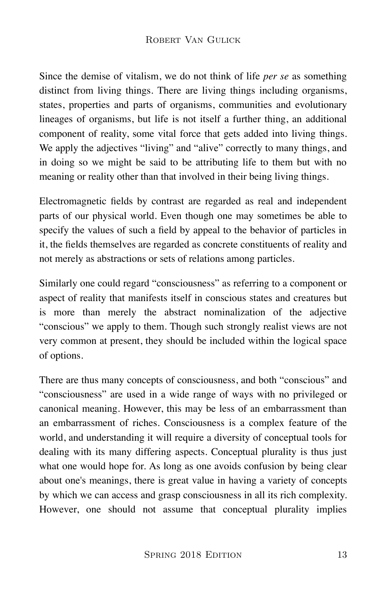Since the demise of vitalism, we do not think of life *per se* as something distinct from living things. There are living things including organisms, states, properties and parts of organisms, communities and evolutionary lineages of organisms, but life is not itself a further thing, an additional component of reality, some vital force that gets added into living things. We apply the adjectives "living" and "alive" correctly to many things, and in doing so we might be said to be attributing life to them but with no meaning or reality other than that involved in their being living things.

Electromagnetic fields by contrast are regarded as real and independent parts of our physical world. Even though one may sometimes be able to specify the values of such a field by appeal to the behavior of particles in it, the fields themselves are regarded as concrete constituents of reality and not merely as abstractions or sets of relations among particles.

Similarly one could regard "consciousness" as referring to a component or aspect of reality that manifests itself in conscious states and creatures but is more than merely the abstract nominalization of the adjective "conscious" we apply to them. Though such strongly realist views are not very common at present, they should be included within the logical space of options.

There are thus many concepts of consciousness, and both "conscious" and "consciousness" are used in a wide range of ways with no privileged or canonical meaning. However, this may be less of an embarrassment than an embarrassment of riches. Consciousness is a complex feature of the world, and understanding it will require a diversity of conceptual tools for dealing with its many differing aspects. Conceptual plurality is thus just what one would hope for. As long as one avoids confusion by being clear about one's meanings, there is great value in having a variety of concepts by which we can access and grasp consciousness in all its rich complexity. However, one should not assume that conceptual plurality implies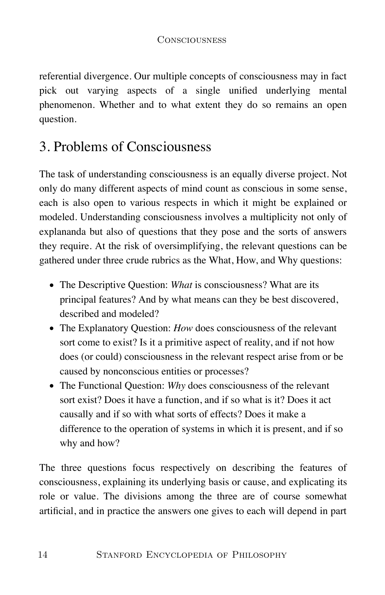referential divergence. Our multiple concepts of consciousness may in fact pick out varying aspects of a single unified underlying mental phenomenon. Whether and to what extent they do so remains an open question.

## 3. Problems of Consciousness

The task of understanding consciousness is an equally diverse project. Not only do many different aspects of mind count as conscious in some sense, each is also open to various respects in which it might be explained or modeled. Understanding consciousness involves a multiplicity not only of explananda but also of questions that they pose and the sorts of answers they require. At the risk of oversimplifying, the relevant questions can be gathered under three crude rubrics as the What, How, and Why questions:

- The Descriptive Question: *What* is consciousness? What are its principal features? And by what means can they be best discovered, described and modeled?
- The Explanatory Question: *How* does consciousness of the relevant sort come to exist? Is it a primitive aspect of reality, and if not how does (or could) consciousness in the relevant respect arise from or be caused by nonconscious entities or processes?
- The Functional Question: *Why* does consciousness of the relevant sort exist? Does it have a function, and if so what is it? Does it act causally and if so with what sorts of effects? Does it make a difference to the operation of systems in which it is present, and if so why and how?

The three questions focus respectively on describing the features of consciousness, explaining its underlying basis or cause, and explicating its role or value. The divisions among the three are of course somewhat artificial, and in practice the answers one gives to each will depend in part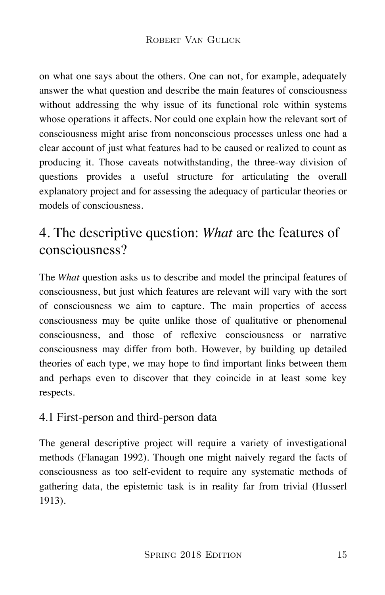on what one says about the others. One can not, for example, adequately answer the what question and describe the main features of consciousness without addressing the why issue of its functional role within systems whose operations it affects. Nor could one explain how the relevant sort of consciousness might arise from nonconscious processes unless one had a clear account of just what features had to be caused or realized to count as producing it. Those caveats notwithstanding, the three-way division of questions provides a useful structure for articulating the overall explanatory project and for assessing the adequacy of particular theories or models of consciousness.

### 4. The descriptive question: *What* are the features of consciousness?

The *What* question asks us to describe and model the principal features of consciousness, but just which features are relevant will vary with the sort of consciousness we aim to capture. The main properties of access consciousness may be quite unlike those of qualitative or phenomenal consciousness, and those of reflexive consciousness or narrative consciousness may differ from both. However, by building up detailed theories of each type, we may hope to find important links between them and perhaps even to discover that they coincide in at least some key respects.

### 4.1 First-person and third-person data

The general descriptive project will require a variety of investigational methods (Flanagan 1992). Though one might naively regard the facts of consciousness as too self-evident to require any systematic methods of gathering data, the epistemic task is in reality far from trivial (Husserl 1913).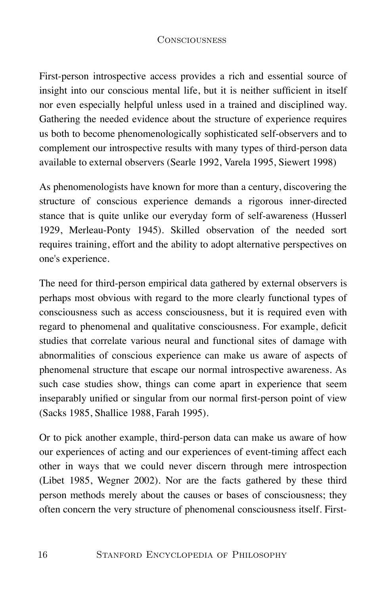First-person introspective access provides a rich and essential source of insight into our conscious mental life, but it is neither sufficient in itself nor even especially helpful unless used in a trained and disciplined way. Gathering the needed evidence about the structure of experience requires us both to become phenomenologically sophisticated self-observers and to complement our introspective results with many types of third-person data available to external observers (Searle 1992, Varela 1995, Siewert 1998)

As phenomenologists have known for more than a century, discovering the structure of conscious experience demands a rigorous inner-directed stance that is quite unlike our everyday form of self-awareness (Husserl 1929, Merleau-Ponty 1945). Skilled observation of the needed sort requires training, effort and the ability to adopt alternative perspectives on one's experience.

The need for third-person empirical data gathered by external observers is perhaps most obvious with regard to the more clearly functional types of consciousness such as access consciousness, but it is required even with regard to phenomenal and qualitative consciousness. For example, deficit studies that correlate various neural and functional sites of damage with abnormalities of conscious experience can make us aware of aspects of phenomenal structure that escape our normal introspective awareness. As such case studies show, things can come apart in experience that seem inseparably unified or singular from our normal first-person point of view (Sacks 1985, Shallice 1988, Farah 1995).

Or to pick another example, third-person data can make us aware of how our experiences of acting and our experiences of event-timing affect each other in ways that we could never discern through mere introspection (Libet 1985, Wegner 2002). Nor are the facts gathered by these third person methods merely about the causes or bases of consciousness; they often concern the very structure of phenomenal consciousness itself. First-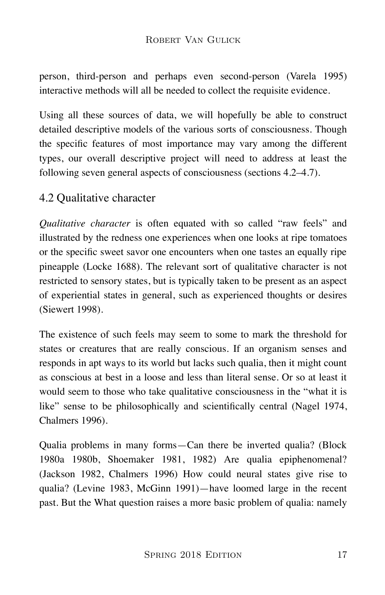#### ROBERT VAN GULICK

person, third-person and perhaps even second-person (Varela 1995) interactive methods will all be needed to collect the requisite evidence.

Using all these sources of data, we will hopefully be able to construct detailed descriptive models of the various sorts of consciousness. Though the specific features of most importance may vary among the different types, our overall descriptive project will need to address at least the following seven general aspects of consciousness (sections 4.2–4.7).

#### 4.2 Qualitative character

*Qualitative character* is often equated with so called "raw feels" and illustrated by the redness one experiences when one looks at ripe tomatoes or the specific sweet savor one encounters when one tastes an equally ripe pineapple (Locke 1688). The relevant sort of qualitative character is not restricted to sensory states, but is typically taken to be present as an aspect of experiential states in general, such as experienced thoughts or desires (Siewert 1998).

The existence of such feels may seem to some to mark the threshold for states or creatures that are really conscious. If an organism senses and responds in apt ways to its world but lacks such qualia, then it might count as conscious at best in a loose and less than literal sense. Or so at least it would seem to those who take qualitative consciousness in the "what it is like" sense to be philosophically and scientifically central (Nagel 1974, Chalmers 1996).

Qualia problems in many forms—Can there be inverted qualia? (Block 1980a 1980b, Shoemaker 1981, 1982) Are qualia epiphenomenal? (Jackson 1982, Chalmers 1996) How could neural states give rise to qualia? (Levine 1983, McGinn 1991)—have loomed large in the recent past. But the What question raises a more basic problem of qualia: namely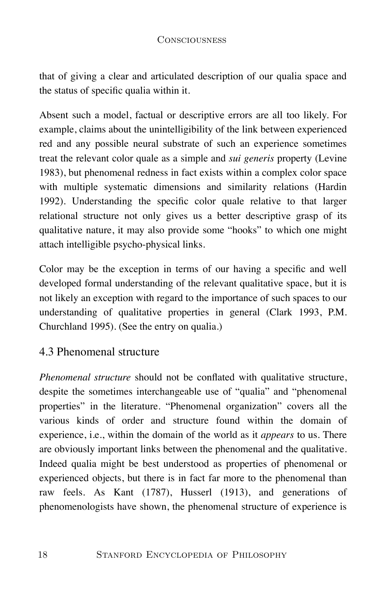that of giving a clear and articulated description of our qualia space and the status of specific qualia within it.

Absent such a model, factual or descriptive errors are all too likely. For example, claims about the unintelligibility of the link between experienced red and any possible neural substrate of such an experience sometimes treat the relevant color quale as a simple and *sui generis* property (Levine 1983), but phenomenal redness in fact exists within a complex color space with multiple systematic dimensions and similarity relations (Hardin 1992). Understanding the specific color quale relative to that larger relational structure not only gives us a better descriptive grasp of its qualitative nature, it may also provide some "hooks" to which one might attach intelligible psycho-physical links.

Color may be the exception in terms of our having a specific and well developed formal understanding of the relevant qualitative space, but it is not likely an exception with regard to the importance of such spaces to our understanding of qualitative properties in general (Clark 1993, P.M. Churchland 1995). (See the entry on qualia.)

### 4.3 Phenomenal structure

*Phenomenal structure* should not be conflated with qualitative structure, despite the sometimes interchangeable use of "qualia" and "phenomenal properties" in the literature. "Phenomenal organization" covers all the various kinds of order and structure found within the domain of experience, i.e., within the domain of the world as it *appears* to us. There are obviously important links between the phenomenal and the qualitative. Indeed qualia might be best understood as properties of phenomenal or experienced objects, but there is in fact far more to the phenomenal than raw feels. As Kant (1787), Husserl (1913), and generations of phenomenologists have shown, the phenomenal structure of experience is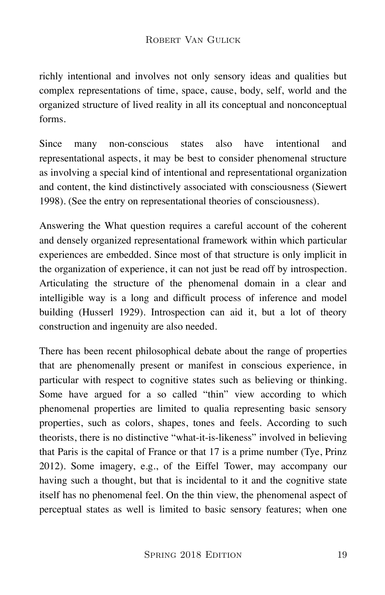richly intentional and involves not only sensory ideas and qualities but complex representations of time, space, cause, body, self, world and the organized structure of lived reality in all its conceptual and nonconceptual forms.

Since many non-conscious states also have intentional and representational aspects, it may be best to consider phenomenal structure as involving a special kind of intentional and representational organization and content, the kind distinctively associated with consciousness (Siewert 1998). (See the entry on representational theories of consciousness).

Answering the What question requires a careful account of the coherent and densely organized representational framework within which particular experiences are embedded. Since most of that structure is only implicit in the organization of experience, it can not just be read off by introspection. Articulating the structure of the phenomenal domain in a clear and intelligible way is a long and difficult process of inference and model building (Husserl 1929). Introspection can aid it, but a lot of theory construction and ingenuity are also needed.

There has been recent philosophical debate about the range of properties that are phenomenally present or manifest in conscious experience, in particular with respect to cognitive states such as believing or thinking. Some have argued for a so called "thin" view according to which phenomenal properties are limited to qualia representing basic sensory properties, such as colors, shapes, tones and feels. According to such theorists, there is no distinctive "what-it-is-likeness" involved in believing that Paris is the capital of France or that 17 is a prime number (Tye, Prinz 2012). Some imagery, e.g., of the Eiffel Tower, may accompany our having such a thought, but that is incidental to it and the cognitive state itself has no phenomenal feel. On the thin view, the phenomenal aspect of perceptual states as well is limited to basic sensory features; when one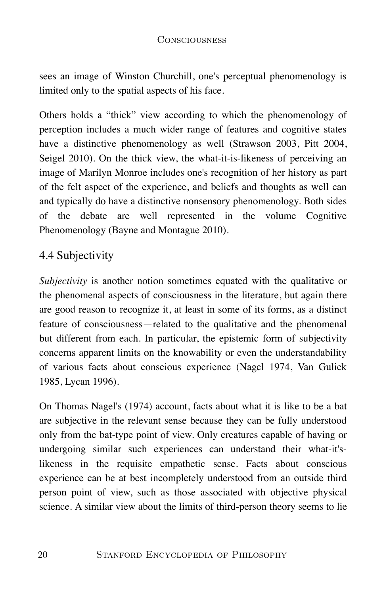sees an image of Winston Churchill, one's perceptual phenomenology is limited only to the spatial aspects of his face.

Others holds a "thick" view according to which the phenomenology of perception includes a much wider range of features and cognitive states have a distinctive phenomenology as well (Strawson 2003, Pitt 2004, Seigel 2010). On the thick view, the what-it-is-likeness of perceiving an image of Marilyn Monroe includes one's recognition of her history as part of the felt aspect of the experience, and beliefs and thoughts as well can and typically do have a distinctive nonsensory phenomenology. Both sides of the debate are well represented in the volume Cognitive Phenomenology (Bayne and Montague 2010).

### 4.4 Subjectivity

*Subjectivity* is another notion sometimes equated with the qualitative or the phenomenal aspects of consciousness in the literature, but again there are good reason to recognize it, at least in some of its forms, as a distinct feature of consciousness—related to the qualitative and the phenomenal but different from each. In particular, the epistemic form of subjectivity concerns apparent limits on the knowability or even the understandability of various facts about conscious experience (Nagel 1974, Van Gulick 1985, Lycan 1996).

On Thomas Nagel's (1974) account, facts about what it is like to be a bat are subjective in the relevant sense because they can be fully understood only from the bat-type point of view. Only creatures capable of having or undergoing similar such experiences can understand their what-it'slikeness in the requisite empathetic sense. Facts about conscious experience can be at best incompletely understood from an outside third person point of view, such as those associated with objective physical science. A similar view about the limits of third-person theory seems to lie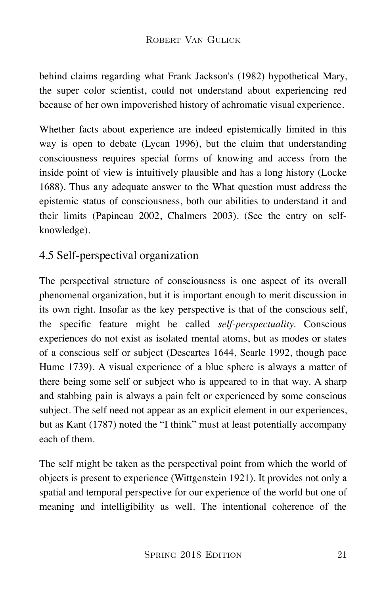behind claims regarding what Frank Jackson's (1982) hypothetical Mary, the super color scientist, could not understand about experiencing red because of her own impoverished history of achromatic visual experience.

Whether facts about experience are indeed epistemically limited in this way is open to debate (Lycan 1996), but the claim that understanding consciousness requires special forms of knowing and access from the inside point of view is intuitively plausible and has a long history (Locke 1688). Thus any adequate answer to the What question must address the epistemic status of consciousness, both our abilities to understand it and their limits (Papineau 2002, Chalmers 2003). (See the entry on selfknowledge).

### 4.5 Self-perspectival organization

The perspectival structure of consciousness is one aspect of its overall phenomenal organization, but it is important enough to merit discussion in its own right. Insofar as the key perspective is that of the conscious self, the specific feature might be called *self-perspectuality.* Conscious experiences do not exist as isolated mental atoms, but as modes or states of a conscious self or subject (Descartes 1644, Searle 1992, though pace Hume 1739). A visual experience of a blue sphere is always a matter of there being some self or subject who is appeared to in that way. A sharp and stabbing pain is always a pain felt or experienced by some conscious subject. The self need not appear as an explicit element in our experiences, but as Kant (1787) noted the "I think" must at least potentially accompany each of them.

The self might be taken as the perspectival point from which the world of objects is present to experience (Wittgenstein 1921). It provides not only a spatial and temporal perspective for our experience of the world but one of meaning and intelligibility as well. The intentional coherence of the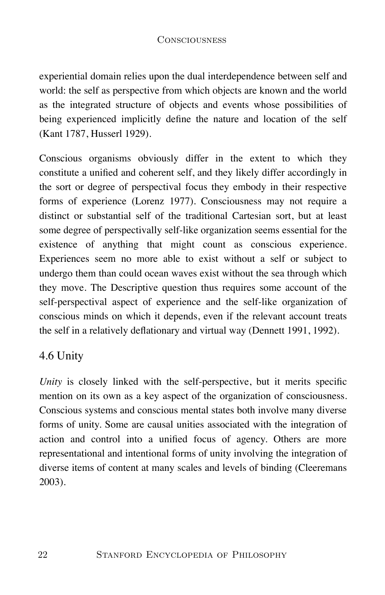experiential domain relies upon the dual interdependence between self and world: the self as perspective from which objects are known and the world as the integrated structure of objects and events whose possibilities of being experienced implicitly define the nature and location of the self (Kant 1787, Husserl 1929).

Conscious organisms obviously differ in the extent to which they constitute a unified and coherent self, and they likely differ accordingly in the sort or degree of perspectival focus they embody in their respective forms of experience (Lorenz 1977). Consciousness may not require a distinct or substantial self of the traditional Cartesian sort, but at least some degree of perspectivally self-like organization seems essential for the existence of anything that might count as conscious experience. Experiences seem no more able to exist without a self or subject to undergo them than could ocean waves exist without the sea through which they move. The Descriptive question thus requires some account of the self-perspectival aspect of experience and the self-like organization of conscious minds on which it depends, even if the relevant account treats the self in a relatively deflationary and virtual way (Dennett 1991, 1992).

### 4.6 Unity

*Unity* is closely linked with the self-perspective, but it merits specific mention on its own as a key aspect of the organization of consciousness. Conscious systems and conscious mental states both involve many diverse forms of unity. Some are causal unities associated with the integration of action and control into a unified focus of agency. Others are more representational and intentional forms of unity involving the integration of diverse items of content at many scales and levels of binding (Cleeremans 2003).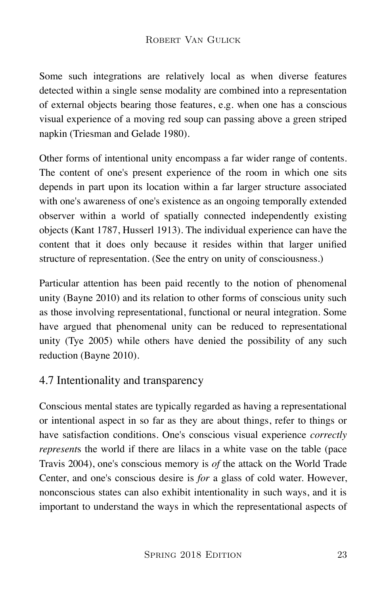Some such integrations are relatively local as when diverse features detected within a single sense modality are combined into a representation of external objects bearing those features, e.g. when one has a conscious visual experience of a moving red soup can passing above a green striped napkin (Triesman and Gelade 1980).

Other forms of intentional unity encompass a far wider range of contents. The content of one's present experience of the room in which one sits depends in part upon its location within a far larger structure associated with one's awareness of one's existence as an ongoing temporally extended observer within a world of spatially connected independently existing objects (Kant 1787, Husserl 1913). The individual experience can have the content that it does only because it resides within that larger unified structure of representation. (See the entry on unity of consciousness.)

Particular attention has been paid recently to the notion of phenomenal unity (Bayne 2010) and its relation to other forms of conscious unity such as those involving representational, functional or neural integration. Some have argued that phenomenal unity can be reduced to representational unity (Tye 2005) while others have denied the possibility of any such reduction (Bayne 2010).

### 4.7 Intentionality and transparency

Conscious mental states are typically regarded as having a representational or intentional aspect in so far as they are about things, refer to things or have satisfaction conditions. One's conscious visual experience *correctly represent*s the world if there are lilacs in a white vase on the table (pace Travis 2004), one's conscious memory is *of* the attack on the World Trade Center, and one's conscious desire is *for* a glass of cold water. However, nonconscious states can also exhibit intentionality in such ways, and it is important to understand the ways in which the representational aspects of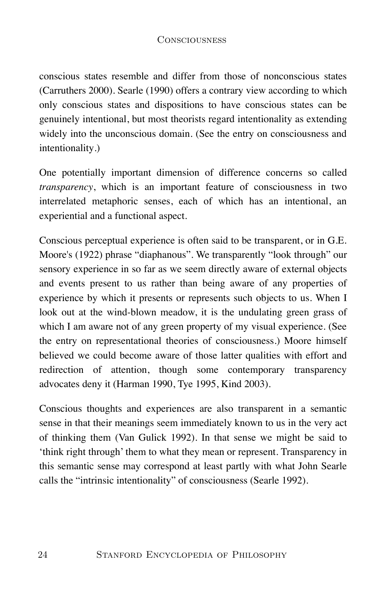conscious states resemble and differ from those of nonconscious states (Carruthers 2000). Searle (1990) offers a contrary view according to which only conscious states and dispositions to have conscious states can be genuinely intentional, but most theorists regard intentionality as extending widely into the unconscious domain. (See the entry on consciousness and intentionality.)

One potentially important dimension of difference concerns so called *transparency*, which is an important feature of consciousness in two interrelated metaphoric senses, each of which has an intentional, an experiential and a functional aspect.

Conscious perceptual experience is often said to be transparent, or in G.E. Moore's (1922) phrase "diaphanous". We transparently "look through" our sensory experience in so far as we seem directly aware of external objects and events present to us rather than being aware of any properties of experience by which it presents or represents such objects to us. When I look out at the wind-blown meadow, it is the undulating green grass of which I am aware not of any green property of my visual experience. (See the entry on representational theories of consciousness.) Moore himself believed we could become aware of those latter qualities with effort and redirection of attention, though some contemporary transparency advocates deny it (Harman 1990, Tye 1995, Kind 2003).

Conscious thoughts and experiences are also transparent in a semantic sense in that their meanings seem immediately known to us in the very act of thinking them (Van Gulick 1992). In that sense we might be said to 'think right through' them to what they mean or represent. Transparency in this semantic sense may correspond at least partly with what John Searle calls the "intrinsic intentionality" of consciousness (Searle 1992).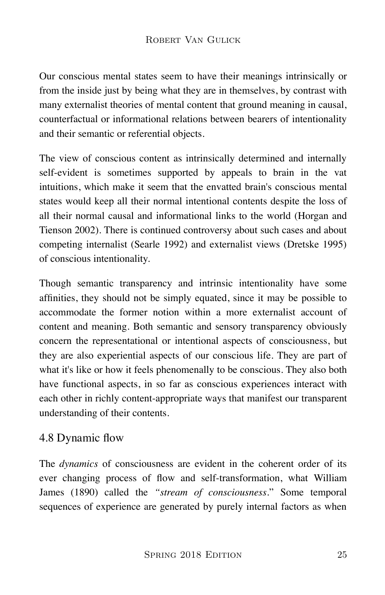Our conscious mental states seem to have their meanings intrinsically or from the inside just by being what they are in themselves, by contrast with many externalist theories of mental content that ground meaning in causal, counterfactual or informational relations between bearers of intentionality and their semantic or referential objects.

The view of conscious content as intrinsically determined and internally self-evident is sometimes supported by appeals to brain in the vat intuitions, which make it seem that the envatted brain's conscious mental states would keep all their normal intentional contents despite the loss of all their normal causal and informational links to the world (Horgan and Tienson 2002). There is continued controversy about such cases and about competing internalist (Searle 1992) and externalist views (Dretske 1995) of conscious intentionality.

Though semantic transparency and intrinsic intentionality have some affinities, they should not be simply equated, since it may be possible to accommodate the former notion within a more externalist account of content and meaning. Both semantic and sensory transparency obviously concern the representational or intentional aspects of consciousness, but they are also experiential aspects of our conscious life. They are part of what it's like or how it feels phenomenally to be conscious. They also both have functional aspects, in so far as conscious experiences interact with each other in richly content-appropriate ways that manifest our transparent understanding of their contents.

### 4.8 Dynamic flow

The *dynamics* of consciousness are evident in the coherent order of its ever changing process of flow and self-transformation, what William James (1890) called the *"stream of consciousness*." Some temporal sequences of experience are generated by purely internal factors as when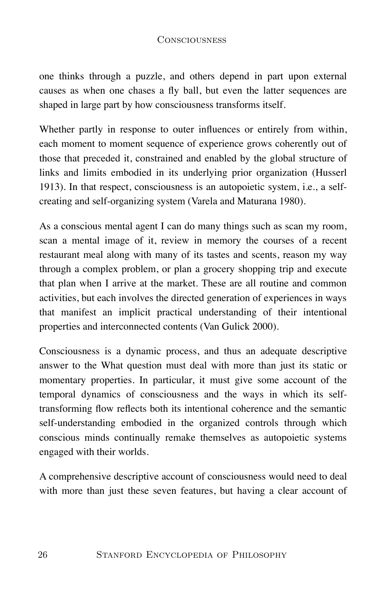one thinks through a puzzle, and others depend in part upon external causes as when one chases a fly ball, but even the latter sequences are shaped in large part by how consciousness transforms itself.

Whether partly in response to outer influences or entirely from within, each moment to moment sequence of experience grows coherently out of those that preceded it, constrained and enabled by the global structure of links and limits embodied in its underlying prior organization (Husserl 1913). In that respect, consciousness is an autopoietic system, i.e., a selfcreating and self-organizing system (Varela and Maturana 1980).

As a conscious mental agent I can do many things such as scan my room, scan a mental image of it, review in memory the courses of a recent restaurant meal along with many of its tastes and scents, reason my way through a complex problem, or plan a grocery shopping trip and execute that plan when I arrive at the market. These are all routine and common activities, but each involves the directed generation of experiences in ways that manifest an implicit practical understanding of their intentional properties and interconnected contents (Van Gulick 2000).

Consciousness is a dynamic process, and thus an adequate descriptive answer to the What question must deal with more than just its static or momentary properties. In particular, it must give some account of the temporal dynamics of consciousness and the ways in which its selftransforming flow reflects both its intentional coherence and the semantic self-understanding embodied in the organized controls through which conscious minds continually remake themselves as autopoietic systems engaged with their worlds.

A comprehensive descriptive account of consciousness would need to deal with more than just these seven features, but having a clear account of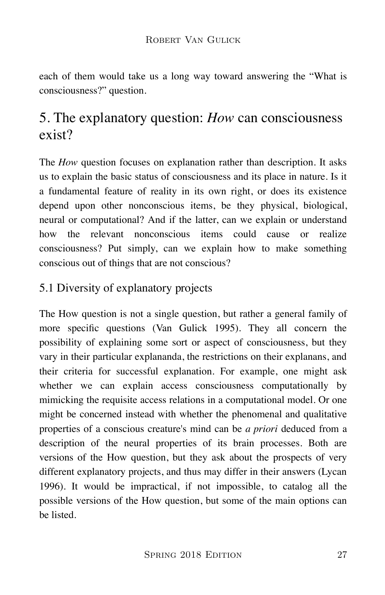each of them would take us a long way toward answering the "What is consciousness?" question.

### 5. The explanatory question: *How* can consciousness exist?

The *How* question focuses on explanation rather than description. It asks us to explain the basic status of consciousness and its place in nature. Is it a fundamental feature of reality in its own right, or does its existence depend upon other nonconscious items, be they physical, biological, neural or computational? And if the latter, can we explain or understand how the relevant nonconscious items could cause or realize consciousness? Put simply, can we explain how to make something conscious out of things that are not conscious?

### 5.1 Diversity of explanatory projects

The How question is not a single question, but rather a general family of more specific questions (Van Gulick 1995). They all concern the possibility of explaining some sort or aspect of consciousness, but they vary in their particular explananda, the restrictions on their explanans, and their criteria for successful explanation. For example, one might ask whether we can explain access consciousness computationally by mimicking the requisite access relations in a computational model. Or one might be concerned instead with whether the phenomenal and qualitative properties of a conscious creature's mind can be *a priori* deduced from a description of the neural properties of its brain processes. Both are versions of the How question, but they ask about the prospects of very different explanatory projects, and thus may differ in their answers (Lycan 1996). It would be impractical, if not impossible, to catalog all the possible versions of the How question, but some of the main options can be listed.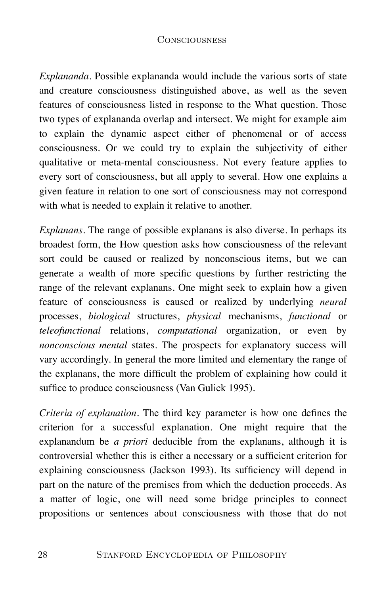*Explananda.* Possible explananda would include the various sorts of state and creature consciousness distinguished above, as well as the seven features of consciousness listed in response to the What question. Those two types of explananda overlap and intersect. We might for example aim to explain the dynamic aspect either of phenomenal or of access consciousness. Or we could try to explain the subjectivity of either qualitative or meta-mental consciousness. Not every feature applies to every sort of consciousness, but all apply to several. How one explains a given feature in relation to one sort of consciousness may not correspond with what is needed to explain it relative to another.

*Explanans.* The range of possible explanans is also diverse. In perhaps its broadest form, the How question asks how consciousness of the relevant sort could be caused or realized by nonconscious items, but we can generate a wealth of more specific questions by further restricting the range of the relevant explanans. One might seek to explain how a given feature of consciousness is caused or realized by underlying *neural* processes, *biological* structures, *physical* mechanisms, *functional* or *teleofunctional* relations, *computational* organization, or even by *nonconscious mental* states. The prospects for explanatory success will vary accordingly. In general the more limited and elementary the range of the explanans, the more difficult the problem of explaining how could it suffice to produce consciousness (Van Gulick 1995).

*Criteria of explanation.* The third key parameter is how one defines the criterion for a successful explanation. One might require that the explanandum be *a priori* deducible from the explanans, although it is controversial whether this is either a necessary or a sufficient criterion for explaining consciousness (Jackson 1993). Its sufficiency will depend in part on the nature of the premises from which the deduction proceeds. As a matter of logic, one will need some bridge principles to connect propositions or sentences about consciousness with those that do not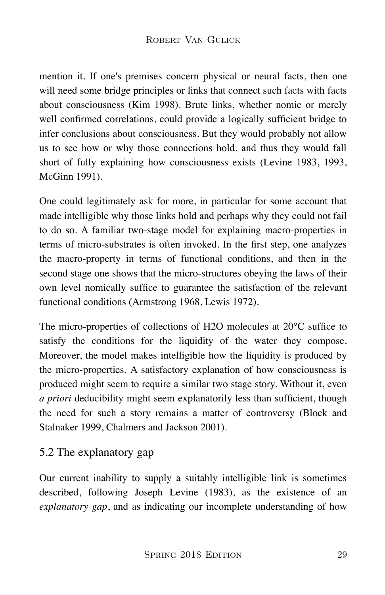mention it. If one's premises concern physical or neural facts, then one will need some bridge principles or links that connect such facts with facts about consciousness (Kim 1998). Brute links, whether nomic or merely well confirmed correlations, could provide a logically sufficient bridge to infer conclusions about consciousness. But they would probably not allow us to see how or why those connections hold, and thus they would fall short of fully explaining how consciousness exists (Levine 1983, 1993, McGinn 1991).

One could legitimately ask for more, in particular for some account that made intelligible why those links hold and perhaps why they could not fail to do so. A familiar two-stage model for explaining macro-properties in terms of micro-substrates is often invoked. In the first step, one analyzes the macro-property in terms of functional conditions, and then in the second stage one shows that the micro-structures obeying the laws of their own level nomically suffice to guarantee the satisfaction of the relevant functional conditions (Armstrong 1968, Lewis 1972).

The micro-properties of collections of H2O molecules at 20°C suffice to satisfy the conditions for the liquidity of the water they compose. Moreover, the model makes intelligible how the liquidity is produced by the micro-properties. A satisfactory explanation of how consciousness is produced might seem to require a similar two stage story. Without it, even *a priori* deducibility might seem explanatorily less than sufficient, though the need for such a story remains a matter of controversy (Block and Stalnaker 1999, Chalmers and Jackson 2001).

### 5.2 The explanatory gap

Our current inability to supply a suitably intelligible link is sometimes described, following Joseph Levine (1983), as the existence of an *explanatory gap*, and as indicating our incomplete understanding of how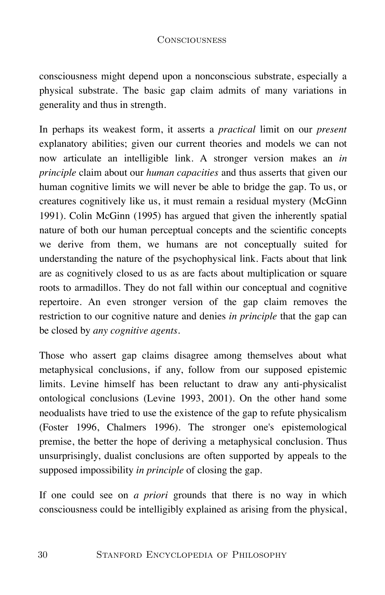consciousness might depend upon a nonconscious substrate, especially a physical substrate. The basic gap claim admits of many variations in generality and thus in strength.

In perhaps its weakest form, it asserts a *practical* limit on our *present* explanatory abilities; given our current theories and models we can not now articulate an intelligible link. A stronger version makes an *in principle* claim about our *human capacities* and thus asserts that given our human cognitive limits we will never be able to bridge the gap. To us, or creatures cognitively like us, it must remain a residual mystery (McGinn 1991). Colin McGinn (1995) has argued that given the inherently spatial nature of both our human perceptual concepts and the scientific concepts we derive from them, we humans are not conceptually suited for understanding the nature of the psychophysical link. Facts about that link are as cognitively closed to us as are facts about multiplication or square roots to armadillos. They do not fall within our conceptual and cognitive repertoire. An even stronger version of the gap claim removes the restriction to our cognitive nature and denies *in principle* that the gap can be closed by *any cognitive agents*.

Those who assert gap claims disagree among themselves about what metaphysical conclusions, if any, follow from our supposed epistemic limits. Levine himself has been reluctant to draw any anti-physicalist ontological conclusions (Levine 1993, 2001). On the other hand some neodualists have tried to use the existence of the gap to refute physicalism (Foster 1996, Chalmers 1996). The stronger one's epistemological premise, the better the hope of deriving a metaphysical conclusion. Thus unsurprisingly, dualist conclusions are often supported by appeals to the supposed impossibility *in principle* of closing the gap.

If one could see on *a priori* grounds that there is no way in which consciousness could be intelligibly explained as arising from the physical,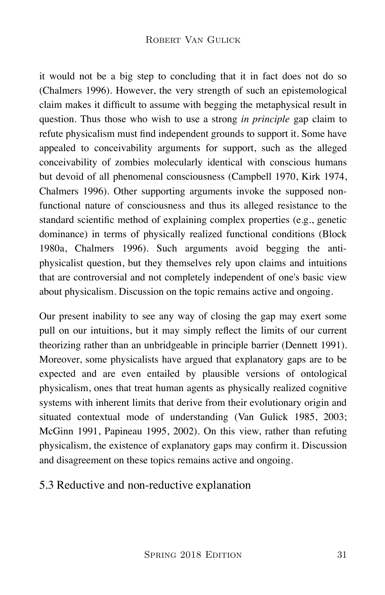it would not be a big step to concluding that it in fact does not do so (Chalmers 1996). However, the very strength of such an epistemological claim makes it difficult to assume with begging the metaphysical result in question. Thus those who wish to use a strong *in principle* gap claim to refute physicalism must find independent grounds to support it. Some have appealed to conceivability arguments for support, such as the alleged conceivability of zombies molecularly identical with conscious humans but devoid of all phenomenal consciousness (Campbell 1970, Kirk 1974, Chalmers 1996). Other supporting arguments invoke the supposed nonfunctional nature of consciousness and thus its alleged resistance to the standard scientific method of explaining complex properties (e.g., genetic dominance) in terms of physically realized functional conditions (Block 1980a, Chalmers 1996). Such arguments avoid begging the antiphysicalist question, but they themselves rely upon claims and intuitions that are controversial and not completely independent of one's basic view about physicalism. Discussion on the topic remains active and ongoing.

Our present inability to see any way of closing the gap may exert some pull on our intuitions, but it may simply reflect the limits of our current theorizing rather than an unbridgeable in principle barrier (Dennett 1991). Moreover, some physicalists have argued that explanatory gaps are to be expected and are even entailed by plausible versions of ontological physicalism, ones that treat human agents as physically realized cognitive systems with inherent limits that derive from their evolutionary origin and situated contextual mode of understanding (Van Gulick 1985, 2003; McGinn 1991, Papineau 1995, 2002). On this view, rather than refuting physicalism, the existence of explanatory gaps may confirm it. Discussion and disagreement on these topics remains active and ongoing.

### 5.3 Reductive and non-reductive explanation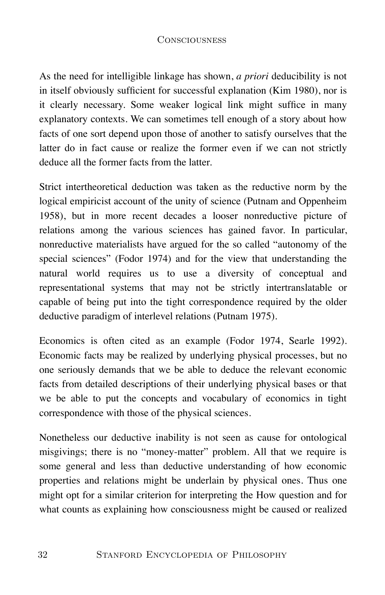As the need for intelligible linkage has shown, *a priori* deducibility is not in itself obviously sufficient for successful explanation (Kim 1980), nor is it clearly necessary. Some weaker logical link might suffice in many explanatory contexts. We can sometimes tell enough of a story about how facts of one sort depend upon those of another to satisfy ourselves that the latter do in fact cause or realize the former even if we can not strictly deduce all the former facts from the latter.

Strict intertheoretical deduction was taken as the reductive norm by the logical empiricist account of the unity of science (Putnam and Oppenheim 1958), but in more recent decades a looser nonreductive picture of relations among the various sciences has gained favor. In particular, nonreductive materialists have argued for the so called "autonomy of the special sciences" (Fodor 1974) and for the view that understanding the natural world requires us to use a diversity of conceptual and representational systems that may not be strictly intertranslatable or capable of being put into the tight correspondence required by the older deductive paradigm of interlevel relations (Putnam 1975).

Economics is often cited as an example (Fodor 1974, Searle 1992). Economic facts may be realized by underlying physical processes, but no one seriously demands that we be able to deduce the relevant economic facts from detailed descriptions of their underlying physical bases or that we be able to put the concepts and vocabulary of economics in tight correspondence with those of the physical sciences.

Nonetheless our deductive inability is not seen as cause for ontological misgivings; there is no "money-matter" problem. All that we require is some general and less than deductive understanding of how economic properties and relations might be underlain by physical ones. Thus one might opt for a similar criterion for interpreting the How question and for what counts as explaining how consciousness might be caused or realized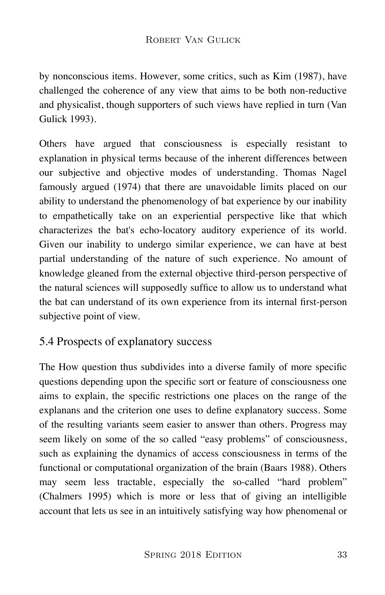by nonconscious items. However, some critics, such as Kim (1987), have challenged the coherence of any view that aims to be both non-reductive and physicalist, though supporters of such views have replied in turn (Van Gulick 1993).

Others have argued that consciousness is especially resistant to explanation in physical terms because of the inherent differences between our subjective and objective modes of understanding. Thomas Nagel famously argued (1974) that there are unavoidable limits placed on our ability to understand the phenomenology of bat experience by our inability to empathetically take on an experiential perspective like that which characterizes the bat's echo-locatory auditory experience of its world. Given our inability to undergo similar experience, we can have at best partial understanding of the nature of such experience. No amount of knowledge gleaned from the external objective third-person perspective of the natural sciences will supposedly suffice to allow us to understand what the bat can understand of its own experience from its internal first-person subjective point of view.

### 5.4 Prospects of explanatory success

The How question thus subdivides into a diverse family of more specific questions depending upon the specific sort or feature of consciousness one aims to explain, the specific restrictions one places on the range of the explanans and the criterion one uses to define explanatory success. Some of the resulting variants seem easier to answer than others. Progress may seem likely on some of the so called "easy problems" of consciousness, such as explaining the dynamics of access consciousness in terms of the functional or computational organization of the brain (Baars 1988). Others may seem less tractable, especially the so-called "hard problem" (Chalmers 1995) which is more or less that of giving an intelligible account that lets us see in an intuitively satisfying way how phenomenal or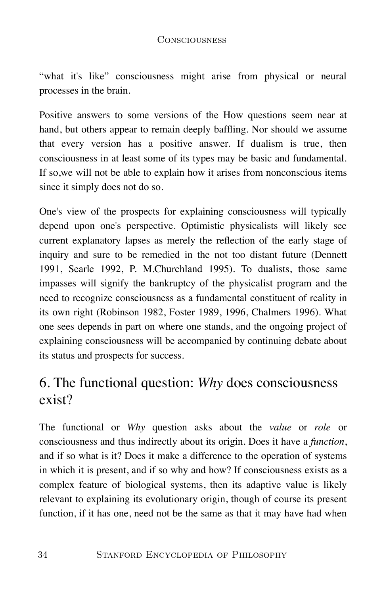"what it's like" consciousness might arise from physical or neural processes in the brain.

Positive answers to some versions of the How questions seem near at hand, but others appear to remain deeply baffling. Nor should we assume that every version has a positive answer. If dualism is true, then consciousness in at least some of its types may be basic and fundamental. If so,we will not be able to explain how it arises from nonconscious items since it simply does not do so.

One's view of the prospects for explaining consciousness will typically depend upon one's perspective. Optimistic physicalists will likely see current explanatory lapses as merely the reflection of the early stage of inquiry and sure to be remedied in the not too distant future (Dennett 1991, Searle 1992, P. M.Churchland 1995). To dualists, those same impasses will signify the bankruptcy of the physicalist program and the need to recognize consciousness as a fundamental constituent of reality in its own right (Robinson 1982, Foster 1989, 1996, Chalmers 1996). What one sees depends in part on where one stands, and the ongoing project of explaining consciousness will be accompanied by continuing debate about its status and prospects for success.

### 6. The functional question: *Why* does consciousness exist?

The functional or *Why* question asks about the *value* or *role* or consciousness and thus indirectly about its origin. Does it have a *function*, and if so what is it? Does it make a difference to the operation of systems in which it is present, and if so why and how? If consciousness exists as a complex feature of biological systems, then its adaptive value is likely relevant to explaining its evolutionary origin, though of course its present function, if it has one, need not be the same as that it may have had when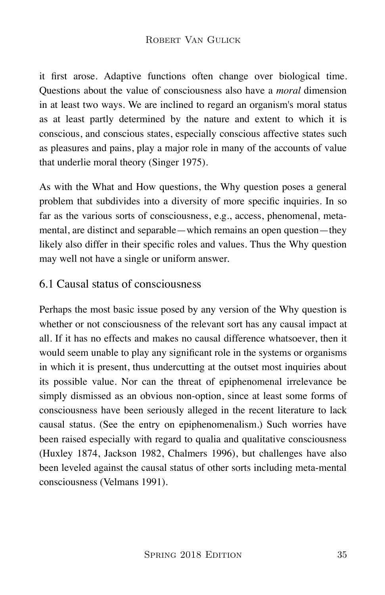#### ROBERT VAN GULICK

it first arose. Adaptive functions often change over biological time. Questions about the value of consciousness also have a *moral* dimension in at least two ways. We are inclined to regard an organism's moral status as at least partly determined by the nature and extent to which it is conscious, and conscious states, especially conscious affective states such as pleasures and pains, play a major role in many of the accounts of value that underlie moral theory (Singer 1975).

As with the What and How questions, the Why question poses a general problem that subdivides into a diversity of more specific inquiries. In so far as the various sorts of consciousness, e.g., access, phenomenal, metamental, are distinct and separable—which remains an open question—they likely also differ in their specific roles and values. Thus the Why question may well not have a single or uniform answer.

#### 6.1 Causal status of consciousness

Perhaps the most basic issue posed by any version of the Why question is whether or not consciousness of the relevant sort has any causal impact at all. If it has no effects and makes no causal difference whatsoever, then it would seem unable to play any significant role in the systems or organisms in which it is present, thus undercutting at the outset most inquiries about its possible value. Nor can the threat of epiphenomenal irrelevance be simply dismissed as an obvious non-option, since at least some forms of consciousness have been seriously alleged in the recent literature to lack causal status. (See the entry on epiphenomenalism.) Such worries have been raised especially with regard to qualia and qualitative consciousness (Huxley 1874, Jackson 1982, Chalmers 1996), but challenges have also been leveled against the causal status of other sorts including meta-mental consciousness (Velmans 1991).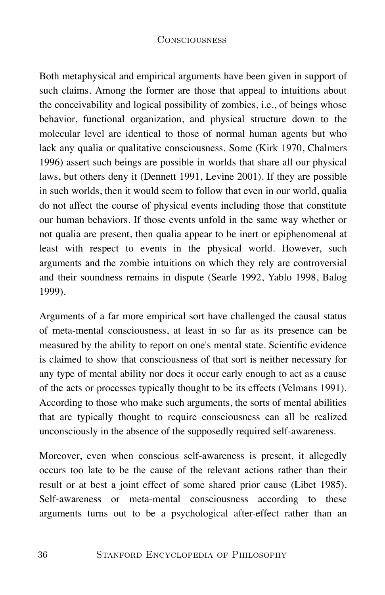Both metaphysical and empirical arguments have been given in support of such claims. Among the former are those that appeal to intuitions about the conceivability and logical possibility of zombies, i.e., of beings whose behavior, functional organization, and physical structure down to the molecular level are identical to those of normal human agents but who lack any qualia or qualitative consciousness. Some (Kirk 1970, Chalmers 1996) assert such beings are possible in worlds that share all our physical laws, but others deny it (Dennett 1991, Levine 2001). If they are possible in such worlds, then it would seem to follow that even in our world, qualia do not affect the course of physical events including those that constitute our human behaviors. If those events unfold in the same way whether or not qualia are present, then qualia appear to be inert or epiphenomenal at least with respect to events in the physical world. However, such arguments and the zombie intuitions on which they rely are controversial and their soundness remains in dispute (Searle 1992, Yablo 1998, Balog 1999).

Arguments of a far more empirical sort have challenged the causal status of meta-mental consciousness, at least in so far as its presence can be measured by the ability to report on one's mental state. Scientific evidence is claimed to show that consciousness of that sort is neither necessary for any type of mental ability nor does it occur early enough to act as a cause of the acts or processes typically thought to be its effects (Velmans 1991). According to those who make such arguments, the sorts of mental abilities that are typically thought to require consciousness can all be realized unconsciously in the absence of the supposedly required self-awareness.

Moreover, even when conscious self-awareness is present, it allegedly occurs too late to be the cause of the relevant actions rather than their result or at best a joint effect of some shared prior cause (Libet 1985). Self-awareness or meta-mental consciousness according to these arguments turns out to be a psychological after-effect rather than an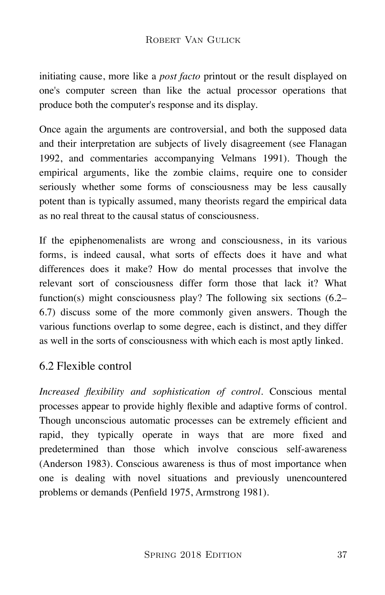initiating cause, more like a *post facto* printout or the result displayed on one's computer screen than like the actual processor operations that produce both the computer's response and its display.

Once again the arguments are controversial, and both the supposed data and their interpretation are subjects of lively disagreement (see Flanagan 1992, and commentaries accompanying Velmans 1991). Though the empirical arguments, like the zombie claims, require one to consider seriously whether some forms of consciousness may be less causally potent than is typically assumed, many theorists regard the empirical data as no real threat to the causal status of consciousness.

If the epiphenomenalists are wrong and consciousness, in its various forms, is indeed causal, what sorts of effects does it have and what differences does it make? How do mental processes that involve the relevant sort of consciousness differ form those that lack it? What function(s) might consciousness play? The following six sections (6.2– 6.7) discuss some of the more commonly given answers. Though the various functions overlap to some degree, each is distinct, and they differ as well in the sorts of consciousness with which each is most aptly linked.

# 6.2 Flexible control

*Increased flexibility and sophistication of control.* Conscious mental processes appear to provide highly flexible and adaptive forms of control. Though unconscious automatic processes can be extremely efficient and rapid, they typically operate in ways that are more fixed and predetermined than those which involve conscious self-awareness (Anderson 1983). Conscious awareness is thus of most importance when one is dealing with novel situations and previously unencountered problems or demands (Penfield 1975, Armstrong 1981).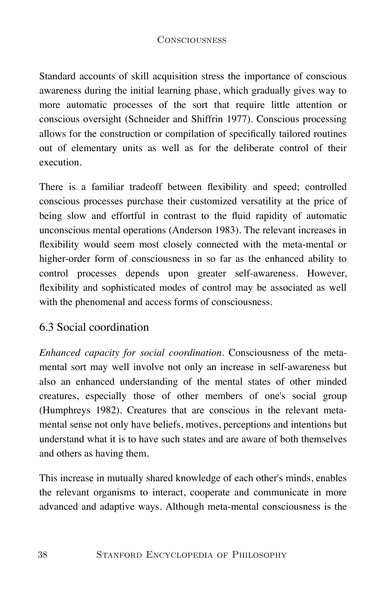Standard accounts of skill acquisition stress the importance of conscious awareness during the initial learning phase, which gradually gives way to more automatic processes of the sort that require little attention or conscious oversight (Schneider and Shiffrin 1977). Conscious processing allows for the construction or compilation of specifically tailored routines out of elementary units as well as for the deliberate control of their execution.

There is a familiar tradeoff between flexibility and speed; controlled conscious processes purchase their customized versatility at the price of being slow and effortful in contrast to the fluid rapidity of automatic unconscious mental operations (Anderson 1983). The relevant increases in flexibility would seem most closely connected with the meta-mental or higher-order form of consciousness in so far as the enhanced ability to control processes depends upon greater self-awareness. However, flexibility and sophisticated modes of control may be associated as well with the phenomenal and access forms of consciousness.

# 6.3 Social coordination

*Enhanced capacity for social coordination.* Consciousness of the metamental sort may well involve not only an increase in self-awareness but also an enhanced understanding of the mental states of other minded creatures, especially those of other members of one's social group (Humphreys 1982). Creatures that are conscious in the relevant metamental sense not only have beliefs, motives, perceptions and intentions but understand what it is to have such states and are aware of both themselves and others as having them.

This increase in mutually shared knowledge of each other's minds, enables the relevant organisms to interact, cooperate and communicate in more advanced and adaptive ways. Although meta-mental consciousness is the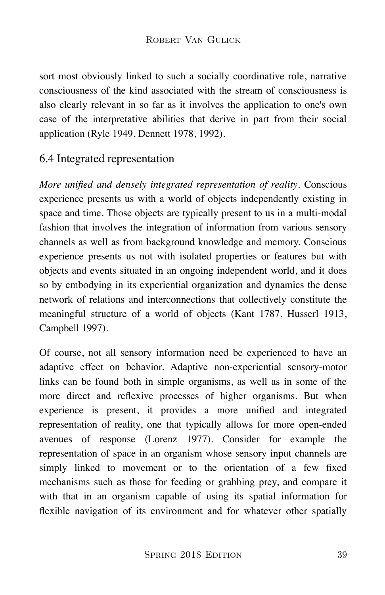sort most obviously linked to such a socially coordinative role, narrative consciousness of the kind associated with the stream of consciousness is also clearly relevant in so far as it involves the application to one's own case of the interpretative abilities that derive in part from their social application (Ryle 1949, Dennett 1978, 1992).

# 6.4 Integrated representation

*More unified and densely integrated representation of reality*. Conscious experience presents us with a world of objects independently existing in space and time. Those objects are typically present to us in a multi-modal fashion that involves the integration of information from various sensory channels as well as from background knowledge and memory. Conscious experience presents us not with isolated properties or features but with objects and events situated in an ongoing independent world, and it does so by embodying in its experiential organization and dynamics the dense network of relations and interconnections that collectively constitute the meaningful structure of a world of objects (Kant 1787, Husserl 1913, Campbell 1997).

Of course, not all sensory information need be experienced to have an adaptive effect on behavior. Adaptive non-experiential sensory-motor links can be found both in simple organisms, as well as in some of the more direct and reflexive processes of higher organisms. But when experience is present, it provides a more unified and integrated representation of reality, one that typically allows for more open-ended avenues of response (Lorenz 1977). Consider for example the representation of space in an organism whose sensory input channels are simply linked to movement or to the orientation of a few fixed mechanisms such as those for feeding or grabbing prey, and compare it with that in an organism capable of using its spatial information for flexible navigation of its environment and for whatever other spatially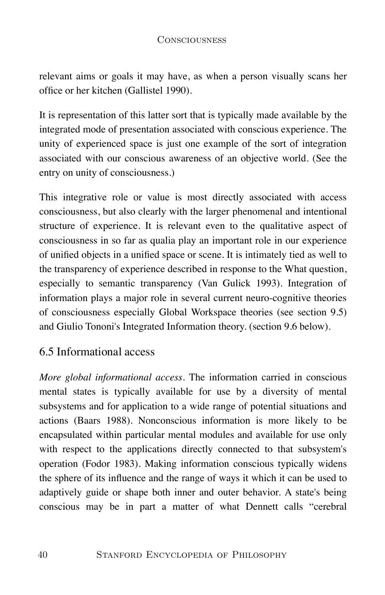relevant aims or goals it may have, as when a person visually scans her office or her kitchen (Gallistel 1990).

It is representation of this latter sort that is typically made available by the integrated mode of presentation associated with conscious experience. The unity of experienced space is just one example of the sort of integration associated with our conscious awareness of an objective world. (See the entry on unity of consciousness.)

This integrative role or value is most directly associated with access consciousness, but also clearly with the larger phenomenal and intentional structure of experience. It is relevant even to the qualitative aspect of consciousness in so far as qualia play an important role in our experience of unified objects in a unified space or scene. It is intimately tied as well to the transparency of experience described in response to the What question, especially to semantic transparency (Van Gulick 1993). Integration of information plays a major role in several current neuro-cognitive theories of consciousness especially Global Workspace theories (see section 9.5) and Giulio Tononi's Integrated Information theory. (section 9.6 below).

# 6.5 Informational access

*More global informational access*. The information carried in conscious mental states is typically available for use by a diversity of mental subsystems and for application to a wide range of potential situations and actions (Baars 1988). Nonconscious information is more likely to be encapsulated within particular mental modules and available for use only with respect to the applications directly connected to that subsystem's operation (Fodor 1983). Making information conscious typically widens the sphere of its influence and the range of ways it which it can be used to adaptively guide or shape both inner and outer behavior. A state's being conscious may be in part a matter of what Dennett calls "cerebral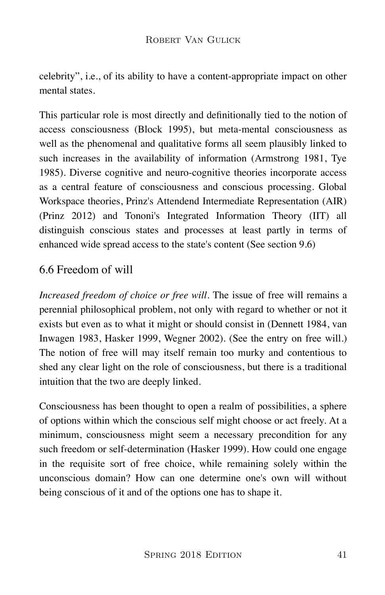celebrity", i.e., of its ability to have a content-appropriate impact on other mental states.

This particular role is most directly and definitionally tied to the notion of access consciousness (Block 1995), but meta-mental consciousness as well as the phenomenal and qualitative forms all seem plausibly linked to such increases in the availability of information (Armstrong 1981, Tye 1985). Diverse cognitive and neuro-cognitive theories incorporate access as a central feature of consciousness and conscious processing. Global Workspace theories, Prinz's Attendend Intermediate Representation (AIR) (Prinz 2012) and Tononi's Integrated Information Theory (IIT) all distinguish conscious states and processes at least partly in terms of enhanced wide spread access to the state's content (See section 9.6)

# 6.6 Freedom of will

*Increased freedom of choice or free will*. The issue of free will remains a perennial philosophical problem, not only with regard to whether or not it exists but even as to what it might or should consist in (Dennett 1984, van Inwagen 1983, Hasker 1999, Wegner 2002). (See the entry on free will.) The notion of free will may itself remain too murky and contentious to shed any clear light on the role of consciousness, but there is a traditional intuition that the two are deeply linked.

Consciousness has been thought to open a realm of possibilities, a sphere of options within which the conscious self might choose or act freely. At a minimum, consciousness might seem a necessary precondition for any such freedom or self-determination (Hasker 1999). How could one engage in the requisite sort of free choice, while remaining solely within the unconscious domain? How can one determine one's own will without being conscious of it and of the options one has to shape it.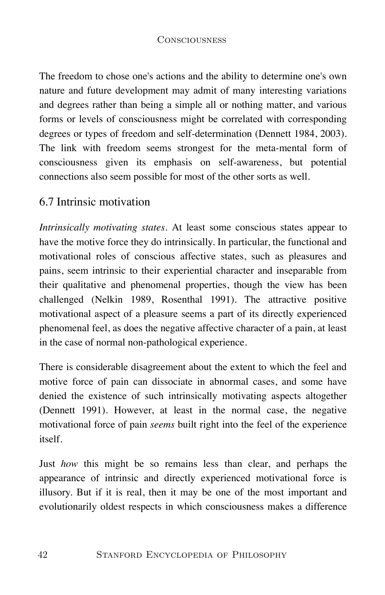The freedom to chose one's actions and the ability to determine one's own nature and future development may admit of many interesting variations and degrees rather than being a simple all or nothing matter, and various forms or levels of consciousness might be correlated with corresponding degrees or types of freedom and self-determination (Dennett 1984, 2003). The link with freedom seems strongest for the meta-mental form of consciousness given its emphasis on self-awareness, but potential connections also seem possible for most of the other sorts as well.

### 6.7 Intrinsic motivation

*Intrinsically motivating states*. At least some conscious states appear to have the motive force they do intrinsically. In particular, the functional and motivational roles of conscious affective states, such as pleasures and pains, seem intrinsic to their experiential character and inseparable from their qualitative and phenomenal properties, though the view has been challenged (Nelkin 1989, Rosenthal 1991). The attractive positive motivational aspect of a pleasure seems a part of its directly experienced phenomenal feel, as does the negative affective character of a pain, at least in the case of normal non-pathological experience.

There is considerable disagreement about the extent to which the feel and motive force of pain can dissociate in abnormal cases, and some have denied the existence of such intrinsically motivating aspects altogether (Dennett 1991). However, at least in the normal case, the negative motivational force of pain *seems* built right into the feel of the experience itself.

Just *how* this might be so remains less than clear, and perhaps the appearance of intrinsic and directly experienced motivational force is illusory. But if it is real, then it may be one of the most important and evolutionarily oldest respects in which consciousness makes a difference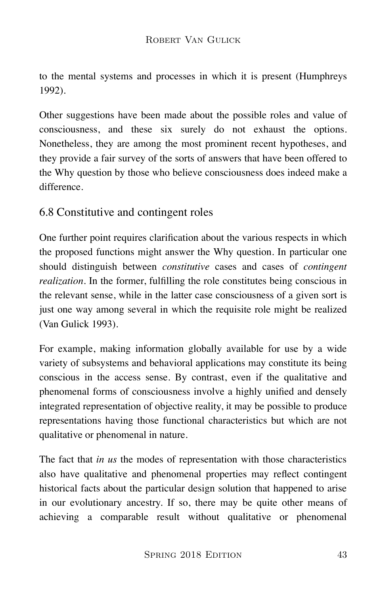to the mental systems and processes in which it is present (Humphreys 1992).

Other suggestions have been made about the possible roles and value of consciousness, and these six surely do not exhaust the options. Nonetheless, they are among the most prominent recent hypotheses, and they provide a fair survey of the sorts of answers that have been offered to the Why question by those who believe consciousness does indeed make a difference.

# 6.8 Constitutive and contingent roles

One further point requires clarification about the various respects in which the proposed functions might answer the Why question. In particular one should distinguish between *constitutive* cases and cases of *contingent realization*. In the former, fulfilling the role constitutes being conscious in the relevant sense, while in the latter case consciousness of a given sort is just one way among several in which the requisite role might be realized (Van Gulick 1993).

For example, making information globally available for use by a wide variety of subsystems and behavioral applications may constitute its being conscious in the access sense. By contrast, even if the qualitative and phenomenal forms of consciousness involve a highly unified and densely integrated representation of objective reality, it may be possible to produce representations having those functional characteristics but which are not qualitative or phenomenal in nature.

The fact that *in us* the modes of representation with those characteristics also have qualitative and phenomenal properties may reflect contingent historical facts about the particular design solution that happened to arise in our evolutionary ancestry. If so, there may be quite other means of achieving a comparable result without qualitative or phenomenal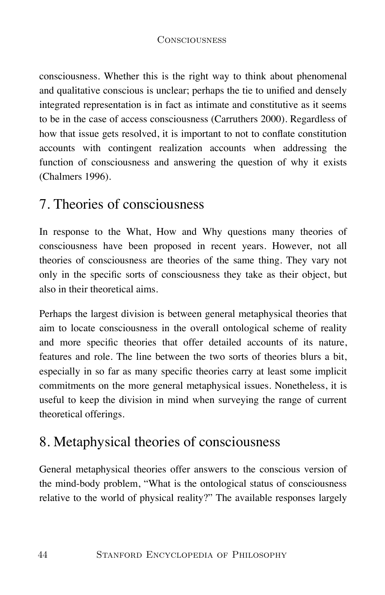consciousness. Whether this is the right way to think about phenomenal and qualitative conscious is unclear; perhaps the tie to unified and densely integrated representation is in fact as intimate and constitutive as it seems to be in the case of access consciousness (Carruthers 2000). Regardless of how that issue gets resolved, it is important to not to conflate constitution accounts with contingent realization accounts when addressing the function of consciousness and answering the question of why it exists (Chalmers 1996).

# 7. Theories of consciousness

In response to the What, How and Why questions many theories of consciousness have been proposed in recent years. However, not all theories of consciousness are theories of the same thing. They vary not only in the specific sorts of consciousness they take as their object, but also in their theoretical aims.

Perhaps the largest division is between general metaphysical theories that aim to locate consciousness in the overall ontological scheme of reality and more specific theories that offer detailed accounts of its nature, features and role. The line between the two sorts of theories blurs a bit, especially in so far as many specific theories carry at least some implicit commitments on the more general metaphysical issues. Nonetheless, it is useful to keep the division in mind when surveying the range of current theoretical offerings.

# 8. Metaphysical theories of consciousness

General metaphysical theories offer answers to the conscious version of the mind-body problem, "What is the ontological status of consciousness relative to the world of physical reality?" The available responses largely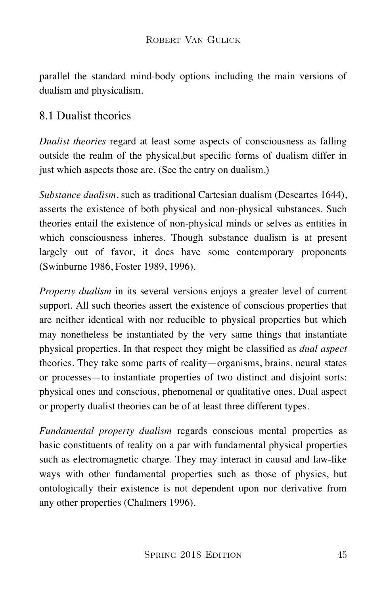parallel the standard mind-body options including the main versions of dualism and physicalism.

# 8.1 Dualist theories

*Dualist theories* regard at least some aspects of consciousness as falling outside the realm of the physical,but specific forms of dualism differ in just which aspects those are. (See the entry on dualism.)

*Substance dualism*, such as traditional Cartesian dualism (Descartes 1644), asserts the existence of both physical and non-physical substances. Such theories entail the existence of non-physical minds or selves as entities in which consciousness inheres. Though substance dualism is at present largely out of favor, it does have some contemporary proponents (Swinburne 1986, Foster 1989, 1996).

*Property dualism* in its several versions enjoys a greater level of current support. All such theories assert the existence of conscious properties that are neither identical with nor reducible to physical properties but which may nonetheless be instantiated by the very same things that instantiate physical properties. In that respect they might be classified as *dual aspect* theories. They take some parts of reality—organisms, brains, neural states or processes—to instantiate properties of two distinct and disjoint sorts: physical ones and conscious, phenomenal or qualitative ones. Dual aspect or property dualist theories can be of at least three different types.

*Fundamental property dualism* regards conscious mental properties as basic constituents of reality on a par with fundamental physical properties such as electromagnetic charge. They may interact in causal and law-like ways with other fundamental properties such as those of physics, but ontologically their existence is not dependent upon nor derivative from any other properties (Chalmers 1996).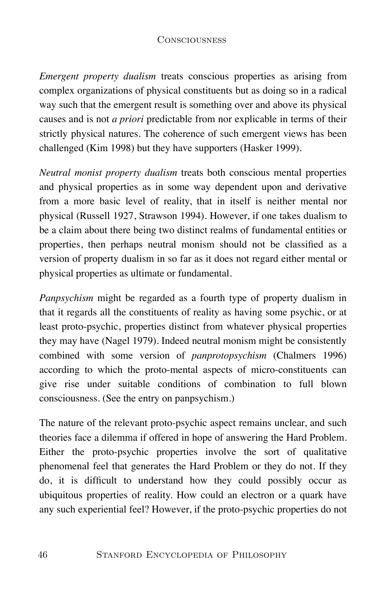*Emergent property dualism* treats conscious properties as arising from complex organizations of physical constituents but as doing so in a radical way such that the emergent result is something over and above its physical causes and is not *a priori* predictable from nor explicable in terms of their strictly physical natures. The coherence of such emergent views has been challenged (Kim 1998) but they have supporters (Hasker 1999).

*Neutral monist property dualism* treats both conscious mental properties and physical properties as in some way dependent upon and derivative from a more basic level of reality, that in itself is neither mental nor physical (Russell 1927, Strawson 1994). However, if one takes dualism to be a claim about there being two distinct realms of fundamental entities or properties, then perhaps neutral monism should not be classified as a version of property dualism in so far as it does not regard either mental or physical properties as ultimate or fundamental.

*Panpsychism* might be regarded as a fourth type of property dualism in that it regards all the constituents of reality as having some psychic, or at least proto-psychic, properties distinct from whatever physical properties they may have (Nagel 1979). Indeed neutral monism might be consistently combined with some version of *panprotopsychism* (Chalmers 1996) according to which the proto-mental aspects of micro-constituents can give rise under suitable conditions of combination to full blown consciousness. (See the entry on panpsychism.)

The nature of the relevant proto-psychic aspect remains unclear, and such theories face a dilemma if offered in hope of answering the Hard Problem. Either the proto-psychic properties involve the sort of qualitative phenomenal feel that generates the Hard Problem or they do not. If they do, it is difficult to understand how they could possibly occur as ubiquitous properties of reality. How could an electron or a quark have any such experiential feel? However, if the proto-psychic properties do not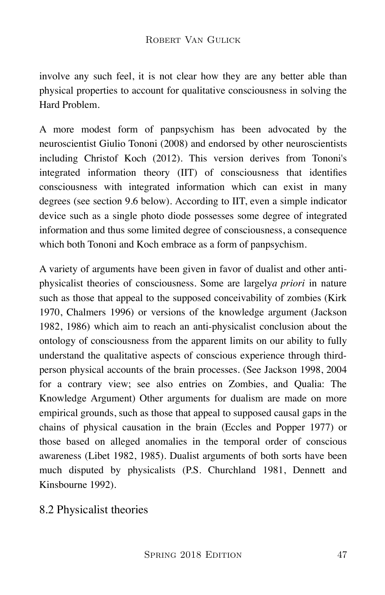involve any such feel, it is not clear how they are any better able than physical properties to account for qualitative consciousness in solving the Hard Problem.

A more modest form of panpsychism has been advocated by the neuroscientist Giulio Tononi (2008) and endorsed by other neuroscientists including Christof Koch (2012). This version derives from Tononi's integrated information theory (IIT) of consciousness that identifies consciousness with integrated information which can exist in many degrees (see section 9.6 below). According to IIT, even a simple indicator device such as a single photo diode possesses some degree of integrated information and thus some limited degree of consciousness, a consequence which both Tononi and Koch embrace as a form of panpsychism.

A variety of arguments have been given in favor of dualist and other antiphysicalist theories of consciousness. Some are largely*a priori* in nature such as those that appeal to the supposed conceivability of zombies (Kirk 1970, Chalmers 1996) or versions of the knowledge argument (Jackson 1982, 1986) which aim to reach an anti-physicalist conclusion about the ontology of consciousness from the apparent limits on our ability to fully understand the qualitative aspects of conscious experience through thirdperson physical accounts of the brain processes. (See Jackson 1998, 2004 for a contrary view; see also entries on Zombies, and Qualia: The Knowledge Argument) Other arguments for dualism are made on more empirical grounds, such as those that appeal to supposed causal gaps in the chains of physical causation in the brain (Eccles and Popper 1977) or those based on alleged anomalies in the temporal order of conscious awareness (Libet 1982, 1985). Dualist arguments of both sorts have been much disputed by physicalists (P.S. Churchland 1981, Dennett and Kinsbourne 1992).

8.2 Physicalist theories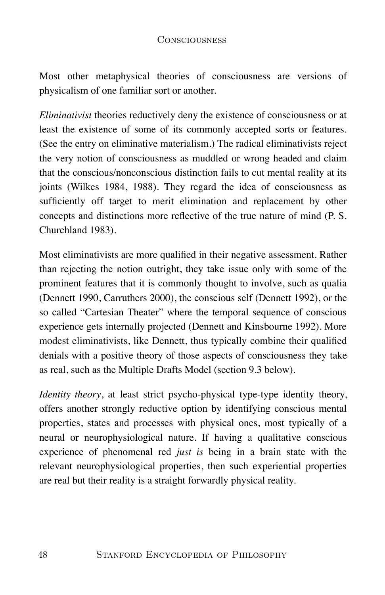Most other metaphysical theories of consciousness are versions of physicalism of one familiar sort or another.

*Eliminativist* theories reductively deny the existence of consciousness or at least the existence of some of its commonly accepted sorts or features. (See the entry on eliminative materialism.) The radical eliminativists reject the very notion of consciousness as muddled or wrong headed and claim that the conscious/nonconscious distinction fails to cut mental reality at its joints (Wilkes 1984, 1988). They regard the idea of consciousness as sufficiently off target to merit elimination and replacement by other concepts and distinctions more reflective of the true nature of mind (P. S. Churchland 1983).

Most eliminativists are more qualified in their negative assessment. Rather than rejecting the notion outright, they take issue only with some of the prominent features that it is commonly thought to involve, such as qualia (Dennett 1990, Carruthers 2000), the conscious self (Dennett 1992), or the so called "Cartesian Theater" where the temporal sequence of conscious experience gets internally projected (Dennett and Kinsbourne 1992). More modest eliminativists, like Dennett, thus typically combine their qualified denials with a positive theory of those aspects of consciousness they take as real, such as the Multiple Drafts Model (section 9.3 below).

*Identity theory*, at least strict psycho-physical type-type identity theory, offers another strongly reductive option by identifying conscious mental properties, states and processes with physical ones, most typically of a neural or neurophysiological nature. If having a qualitative conscious experience of phenomenal red *just is* being in a brain state with the relevant neurophysiological properties, then such experiential properties are real but their reality is a straight forwardly physical reality.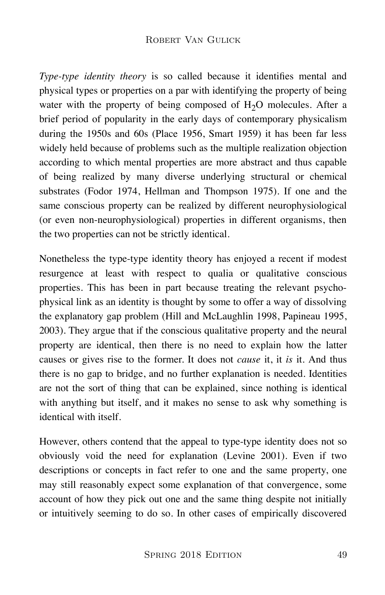*Type-type identity theory* is so called because it identifies mental and physical types or properties on a par with identifying the property of being water with the property of being composed of  $H_2O$  molecules. After a brief period of popularity in the early days of contemporary physicalism during the 1950s and 60s (Place 1956, Smart 1959) it has been far less widely held because of problems such as the multiple realization objection according to which mental properties are more abstract and thus capable of being realized by many diverse underlying structural or chemical substrates (Fodor 1974, Hellman and Thompson 1975). If one and the same conscious property can be realized by different neurophysiological (or even non-neurophysiological) properties in different organisms, then the two properties can not be strictly identical.

Nonetheless the type-type identity theory has enjoyed a recent if modest resurgence at least with respect to qualia or qualitative conscious properties. This has been in part because treating the relevant psychophysical link as an identity is thought by some to offer a way of dissolving the explanatory gap problem (Hill and McLaughlin 1998, Papineau 1995, 2003). They argue that if the conscious qualitative property and the neural property are identical, then there is no need to explain how the latter causes or gives rise to the former. It does not *cause* it, it *is* it. And thus there is no gap to bridge, and no further explanation is needed. Identities are not the sort of thing that can be explained, since nothing is identical with anything but itself, and it makes no sense to ask why something is identical with itself.

However, others contend that the appeal to type-type identity does not so obviously void the need for explanation (Levine 2001). Even if two descriptions or concepts in fact refer to one and the same property, one may still reasonably expect some explanation of that convergence, some account of how they pick out one and the same thing despite not initially or intuitively seeming to do so. In other cases of empirically discovered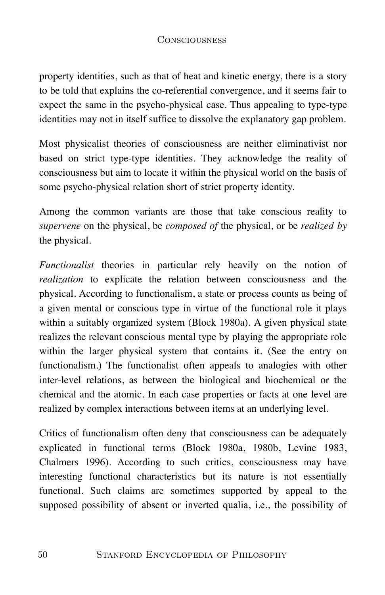property identities, such as that of heat and kinetic energy, there is a story to be told that explains the co-referential convergence, and it seems fair to expect the same in the psycho-physical case. Thus appealing to type-type identities may not in itself suffice to dissolve the explanatory gap problem.

Most physicalist theories of consciousness are neither eliminativist nor based on strict type-type identities. They acknowledge the reality of consciousness but aim to locate it within the physical world on the basis of some psycho-physical relation short of strict property identity.

Among the common variants are those that take conscious reality to *supervene* on the physical, be *composed of* the physical, or be *realized by* the physical.

*Functionalist* theories in particular rely heavily on the notion of *realization* to explicate the relation between consciousness and the physical. According to functionalism, a state or process counts as being of a given mental or conscious type in virtue of the functional role it plays within a suitably organized system (Block 1980a). A given physical state realizes the relevant conscious mental type by playing the appropriate role within the larger physical system that contains it. (See the entry on functionalism.) The functionalist often appeals to analogies with other inter-level relations, as between the biological and biochemical or the chemical and the atomic. In each case properties or facts at one level are realized by complex interactions between items at an underlying level.

Critics of functionalism often deny that consciousness can be adequately explicated in functional terms (Block 1980a, 1980b, Levine 1983, Chalmers 1996). According to such critics, consciousness may have interesting functional characteristics but its nature is not essentially functional. Such claims are sometimes supported by appeal to the supposed possibility of absent or inverted qualia, i.e., the possibility of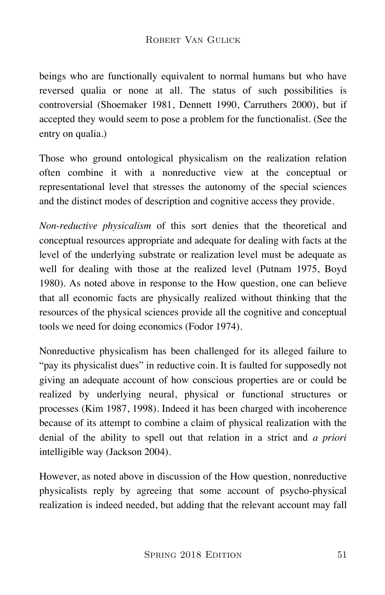beings who are functionally equivalent to normal humans but who have reversed qualia or none at all. The status of such possibilities is controversial (Shoemaker 1981, Dennett 1990, Carruthers 2000), but if accepted they would seem to pose a problem for the functionalist. (See the entry on qualia.)

Those who ground ontological physicalism on the realization relation often combine it with a nonreductive view at the conceptual or representational level that stresses the autonomy of the special sciences and the distinct modes of description and cognitive access they provide.

*Non-reductive physicalism* of this sort denies that the theoretical and conceptual resources appropriate and adequate for dealing with facts at the level of the underlying substrate or realization level must be adequate as well for dealing with those at the realized level (Putnam 1975, Boyd 1980). As noted above in response to the How question, one can believe that all economic facts are physically realized without thinking that the resources of the physical sciences provide all the cognitive and conceptual tools we need for doing economics (Fodor 1974).

Nonreductive physicalism has been challenged for its alleged failure to "pay its physicalist dues" in reductive coin. It is faulted for supposedly not giving an adequate account of how conscious properties are or could be realized by underlying neural, physical or functional structures or processes (Kim 1987, 1998). Indeed it has been charged with incoherence because of its attempt to combine a claim of physical realization with the denial of the ability to spell out that relation in a strict and *a priori* intelligible way (Jackson 2004).

However, as noted above in discussion of the How question, nonreductive physicalists reply by agreeing that some account of psycho-physical realization is indeed needed, but adding that the relevant account may fall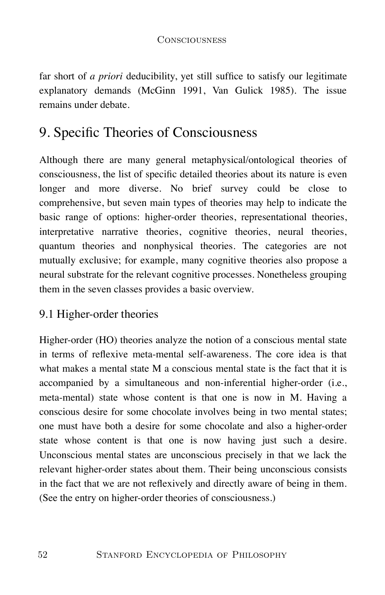far short of *a priori* deducibility, yet still suffice to satisfy our legitimate explanatory demands (McGinn 1991, Van Gulick 1985). The issue remains under debate.

# 9. Specific Theories of Consciousness

Although there are many general metaphysical/ontological theories of consciousness, the list of specific detailed theories about its nature is even longer and more diverse. No brief survey could be close to comprehensive, but seven main types of theories may help to indicate the basic range of options: higher-order theories, representational theories, interpretative narrative theories, cognitive theories, neural theories, quantum theories and nonphysical theories. The categories are not mutually exclusive; for example, many cognitive theories also propose a neural substrate for the relevant cognitive processes. Nonetheless grouping them in the seven classes provides a basic overview.

# 9.1 Higher-order theories

Higher-order (HO) theories analyze the notion of a conscious mental state in terms of reflexive meta-mental self-awareness. The core idea is that what makes a mental state M a conscious mental state is the fact that it is accompanied by a simultaneous and non-inferential higher-order (i.e., meta-mental) state whose content is that one is now in M. Having a conscious desire for some chocolate involves being in two mental states; one must have both a desire for some chocolate and also a higher-order state whose content is that one is now having just such a desire. Unconscious mental states are unconscious precisely in that we lack the relevant higher-order states about them. Their being unconscious consists in the fact that we are not reflexively and directly aware of being in them. (See the entry on higher-order theories of consciousness.)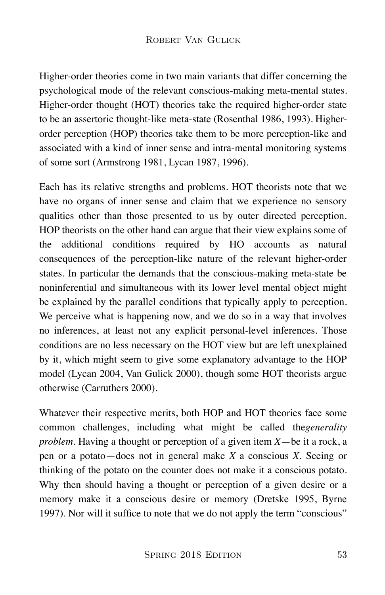Higher-order theories come in two main variants that differ concerning the psychological mode of the relevant conscious-making meta-mental states. Higher-order thought (HOT) theories take the required higher-order state to be an assertoric thought-like meta-state (Rosenthal 1986, 1993). Higherorder perception (HOP) theories take them to be more perception-like and associated with a kind of inner sense and intra-mental monitoring systems of some sort (Armstrong 1981, Lycan 1987, 1996).

Each has its relative strengths and problems. HOT theorists note that we have no organs of inner sense and claim that we experience no sensory qualities other than those presented to us by outer directed perception. HOP theorists on the other hand can argue that their view explains some of the additional conditions required by HO accounts as natural consequences of the perception-like nature of the relevant higher-order states. In particular the demands that the conscious-making meta-state be noninferential and simultaneous with its lower level mental object might be explained by the parallel conditions that typically apply to perception. We perceive what is happening now, and we do so in a way that involves no inferences, at least not any explicit personal-level inferences. Those conditions are no less necessary on the HOT view but are left unexplained by it, which might seem to give some explanatory advantage to the HOP model (Lycan 2004, Van Gulick 2000), though some HOT theorists argue otherwise (Carruthers 2000).

Whatever their respective merits, both HOP and HOT theories face some common challenges, including what might be called the*generality problem.* Having a thought or perception of a given item *X*—be it a rock, a pen or a potato—does not in general make *X* a conscious *X*. Seeing or thinking of the potato on the counter does not make it a conscious potato. Why then should having a thought or perception of a given desire or a memory make it a conscious desire or memory (Dretske 1995, Byrne 1997). Nor will it suffice to note that we do not apply the term "conscious"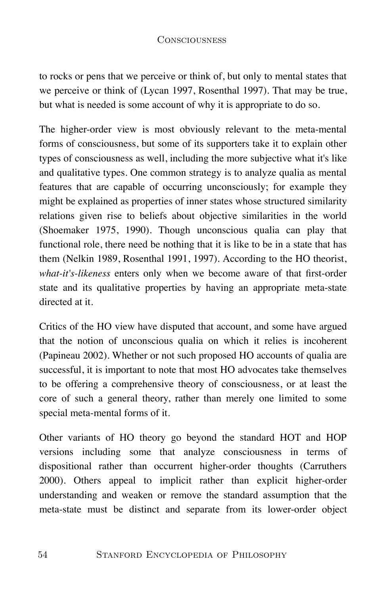to rocks or pens that we perceive or think of, but only to mental states that we perceive or think of (Lycan 1997, Rosenthal 1997). That may be true, but what is needed is some account of why it is appropriate to do so.

The higher-order view is most obviously relevant to the meta-mental forms of consciousness, but some of its supporters take it to explain other types of consciousness as well, including the more subjective what it's like and qualitative types. One common strategy is to analyze qualia as mental features that are capable of occurring unconsciously; for example they might be explained as properties of inner states whose structured similarity relations given rise to beliefs about objective similarities in the world (Shoemaker 1975, 1990). Though unconscious qualia can play that functional role, there need be nothing that it is like to be in a state that has them (Nelkin 1989, Rosenthal 1991, 1997). According to the HO theorist, *what-it's-likeness* enters only when we become aware of that first-order state and its qualitative properties by having an appropriate meta-state directed at it.

Critics of the HO view have disputed that account, and some have argued that the notion of unconscious qualia on which it relies is incoherent (Papineau 2002). Whether or not such proposed HO accounts of qualia are successful, it is important to note that most HO advocates take themselves to be offering a comprehensive theory of consciousness, or at least the core of such a general theory, rather than merely one limited to some special meta-mental forms of it.

Other variants of HO theory go beyond the standard HOT and HOP versions including some that analyze consciousness in terms of dispositional rather than occurrent higher-order thoughts (Carruthers 2000). Others appeal to implicit rather than explicit higher-order understanding and weaken or remove the standard assumption that the meta-state must be distinct and separate from its lower-order object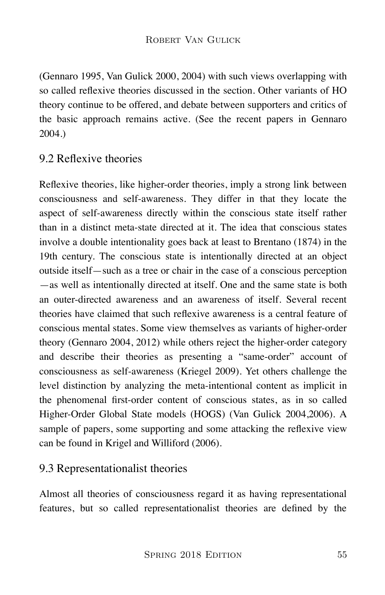(Gennaro 1995, Van Gulick 2000, 2004) with such views overlapping with so called reflexive theories discussed in the section. Other variants of HO theory continue to be offered, and debate between supporters and critics of the basic approach remains active. (See the recent papers in Gennaro 2004.)

# 9.2 Reflexive theories

Reflexive theories, like higher-order theories, imply a strong link between consciousness and self-awareness. They differ in that they locate the aspect of self-awareness directly within the conscious state itself rather than in a distinct meta-state directed at it. The idea that conscious states involve a double intentionality goes back at least to Brentano (1874) in the 19th century. The conscious state is intentionally directed at an object outside itself—such as a tree or chair in the case of a conscious perception —as well as intentionally directed at itself. One and the same state is both an outer-directed awareness and an awareness of itself. Several recent theories have claimed that such reflexive awareness is a central feature of conscious mental states. Some view themselves as variants of higher-order theory (Gennaro 2004, 2012) while others reject the higher-order category and describe their theories as presenting a "same-order" account of consciousness as self-awareness (Kriegel 2009). Yet others challenge the level distinction by analyzing the meta-intentional content as implicit in the phenomenal first-order content of conscious states, as in so called Higher-Order Global State models (HOGS) (Van Gulick 2004,2006). A sample of papers, some supporting and some attacking the reflexive view can be found in Krigel and Williford (2006).

# 9.3 Representationalist theories

Almost all theories of consciousness regard it as having representational features, but so called representationalist theories are defined by the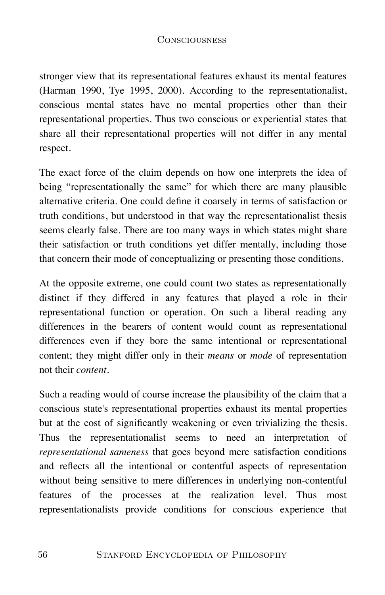stronger view that its representational features exhaust its mental features (Harman 1990, Tye 1995, 2000). According to the representationalist, conscious mental states have no mental properties other than their representational properties. Thus two conscious or experiential states that share all their representational properties will not differ in any mental respect.

The exact force of the claim depends on how one interprets the idea of being "representationally the same" for which there are many plausible alternative criteria. One could define it coarsely in terms of satisfaction or truth conditions, but understood in that way the representationalist thesis seems clearly false. There are too many ways in which states might share their satisfaction or truth conditions yet differ mentally, including those that concern their mode of conceptualizing or presenting those conditions.

At the opposite extreme, one could count two states as representationally distinct if they differed in any features that played a role in their representational function or operation. On such a liberal reading any differences in the bearers of content would count as representational differences even if they bore the same intentional or representational content; they might differ only in their *means* or *mode* of representation not their *content*.

Such a reading would of course increase the plausibility of the claim that a conscious state's representational properties exhaust its mental properties but at the cost of significantly weakening or even trivializing the thesis. Thus the representationalist seems to need an interpretation of *representational sameness* that goes beyond mere satisfaction conditions and reflects all the intentional or contentful aspects of representation without being sensitive to mere differences in underlying non-contentful features of the processes at the realization level. Thus most representationalists provide conditions for conscious experience that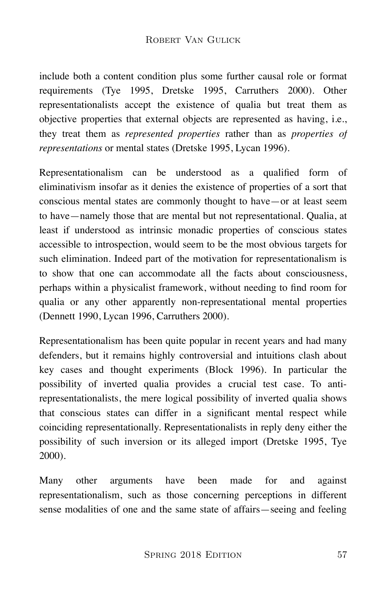#### ROBERT VAN GULICK

include both a content condition plus some further causal role or format requirements (Tye 1995, Dretske 1995, Carruthers 2000). Other representationalists accept the existence of qualia but treat them as objective properties that external objects are represented as having, i.e., they treat them as *represented properties* rather than as *properties of representations* or mental states (Dretske 1995, Lycan 1996).

Representationalism can be understood as a qualified form of eliminativism insofar as it denies the existence of properties of a sort that conscious mental states are commonly thought to have—or at least seem to have—namely those that are mental but not representational. Qualia, at least if understood as intrinsic monadic properties of conscious states accessible to introspection, would seem to be the most obvious targets for such elimination. Indeed part of the motivation for representationalism is to show that one can accommodate all the facts about consciousness, perhaps within a physicalist framework, without needing to find room for qualia or any other apparently non-representational mental properties (Dennett 1990, Lycan 1996, Carruthers 2000).

Representationalism has been quite popular in recent years and had many defenders, but it remains highly controversial and intuitions clash about key cases and thought experiments (Block 1996). In particular the possibility of inverted qualia provides a crucial test case. To antirepresentationalists, the mere logical possibility of inverted qualia shows that conscious states can differ in a significant mental respect while coinciding representationally. Representationalists in reply deny either the possibility of such inversion or its alleged import (Dretske 1995, Tye 2000).

Many other arguments have been made for and against representationalism, such as those concerning perceptions in different sense modalities of one and the same state of affairs—seeing and feeling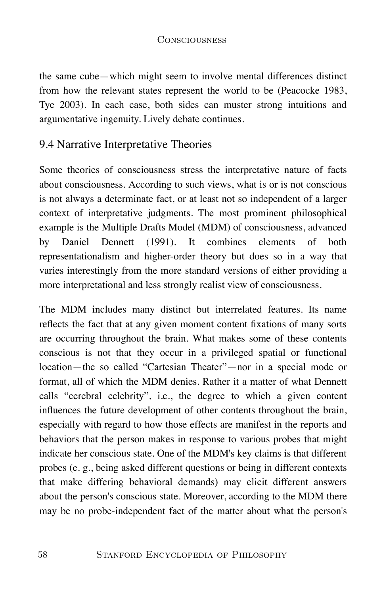the same cube—which might seem to involve mental differences distinct from how the relevant states represent the world to be (Peacocke 1983, Tye 2003). In each case, both sides can muster strong intuitions and argumentative ingenuity. Lively debate continues.

### 9.4 Narrative Interpretative Theories

Some theories of consciousness stress the interpretative nature of facts about consciousness. According to such views, what is or is not conscious is not always a determinate fact, or at least not so independent of a larger context of interpretative judgments. The most prominent philosophical example is the Multiple Drafts Model (MDM) of consciousness, advanced by Daniel Dennett (1991). It combines elements of both representationalism and higher-order theory but does so in a way that varies interestingly from the more standard versions of either providing a more interpretational and less strongly realist view of consciousness.

The MDM includes many distinct but interrelated features. Its name reflects the fact that at any given moment content fixations of many sorts are occurring throughout the brain. What makes some of these contents conscious is not that they occur in a privileged spatial or functional location—the so called "Cartesian Theater"—nor in a special mode or format, all of which the MDM denies. Rather it a matter of what Dennett calls "cerebral celebrity", i.e., the degree to which a given content influences the future development of other contents throughout the brain, especially with regard to how those effects are manifest in the reports and behaviors that the person makes in response to various probes that might indicate her conscious state. One of the MDM's key claims is that different probes (e. g., being asked different questions or being in different contexts that make differing behavioral demands) may elicit different answers about the person's conscious state. Moreover, according to the MDM there may be no probe-independent fact of the matter about what the person's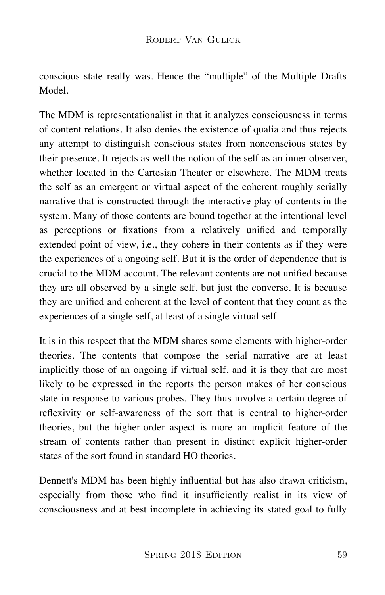conscious state really was. Hence the "multiple" of the Multiple Drafts Model.

The MDM is representationalist in that it analyzes consciousness in terms of content relations. It also denies the existence of qualia and thus rejects any attempt to distinguish conscious states from nonconscious states by their presence. It rejects as well the notion of the self as an inner observer, whether located in the Cartesian Theater or elsewhere. The MDM treats the self as an emergent or virtual aspect of the coherent roughly serially narrative that is constructed through the interactive play of contents in the system. Many of those contents are bound together at the intentional level as perceptions or fixations from a relatively unified and temporally extended point of view, i.e., they cohere in their contents as if they were the experiences of a ongoing self. But it is the order of dependence that is crucial to the MDM account. The relevant contents are not unified because they are all observed by a single self, but just the converse. It is because they are unified and coherent at the level of content that they count as the experiences of a single self, at least of a single virtual self.

It is in this respect that the MDM shares some elements with higher-order theories. The contents that compose the serial narrative are at least implicitly those of an ongoing if virtual self, and it is they that are most likely to be expressed in the reports the person makes of her conscious state in response to various probes. They thus involve a certain degree of reflexivity or self-awareness of the sort that is central to higher-order theories, but the higher-order aspect is more an implicit feature of the stream of contents rather than present in distinct explicit higher-order states of the sort found in standard HO theories.

Dennett's MDM has been highly influential but has also drawn criticism, especially from those who find it insufficiently realist in its view of consciousness and at best incomplete in achieving its stated goal to fully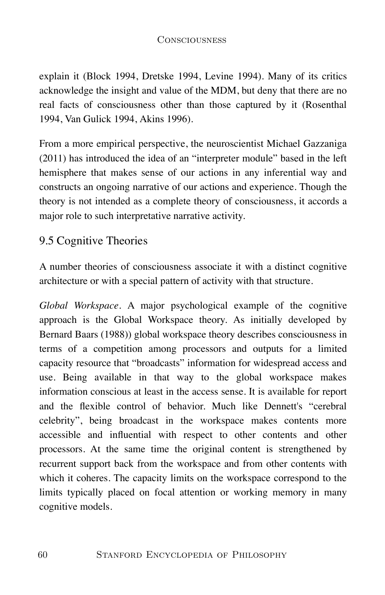explain it (Block 1994, Dretske 1994, Levine 1994). Many of its critics acknowledge the insight and value of the MDM, but deny that there are no real facts of consciousness other than those captured by it (Rosenthal 1994, Van Gulick 1994, Akins 1996).

From a more empirical perspective, the neuroscientist Michael Gazzaniga (2011) has introduced the idea of an "interpreter module" based in the left hemisphere that makes sense of our actions in any inferential way and constructs an ongoing narrative of our actions and experience. Though the theory is not intended as a complete theory of consciousness, it accords a major role to such interpretative narrative activity.

# 9.5 Cognitive Theories

A number theories of consciousness associate it with a distinct cognitive architecture or with a special pattern of activity with that structure.

*Global Workspace*. A major psychological example of the cognitive approach is the Global Workspace theory. As initially developed by Bernard Baars (1988)) global workspace theory describes consciousness in terms of a competition among processors and outputs for a limited capacity resource that "broadcasts" information for widespread access and use. Being available in that way to the global workspace makes information conscious at least in the access sense. It is available for report and the flexible control of behavior. Much like Dennett's "cerebral celebrity", being broadcast in the workspace makes contents more accessible and influential with respect to other contents and other processors. At the same time the original content is strengthened by recurrent support back from the workspace and from other contents with which it coheres. The capacity limits on the workspace correspond to the limits typically placed on focal attention or working memory in many cognitive models.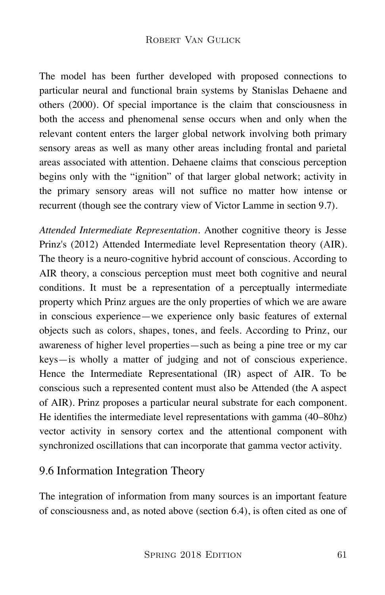The model has been further developed with proposed connections to particular neural and functional brain systems by Stanislas Dehaene and others (2000). Of special importance is the claim that consciousness in both the access and phenomenal sense occurs when and only when the relevant content enters the larger global network involving both primary sensory areas as well as many other areas including frontal and parietal areas associated with attention. Dehaene claims that conscious perception begins only with the "ignition" of that larger global network; activity in the primary sensory areas will not suffice no matter how intense or recurrent (though see the contrary view of Victor Lamme in section 9.7).

*Attended Intermediate Representation*. Another cognitive theory is Jesse Prinz's (2012) Attended Intermediate level Representation theory (AIR). The theory is a neuro-cognitive hybrid account of conscious. According to AIR theory, a conscious perception must meet both cognitive and neural conditions. It must be a representation of a perceptually intermediate property which Prinz argues are the only properties of which we are aware in conscious experience—we experience only basic features of external objects such as colors, shapes, tones, and feels. According to Prinz, our awareness of higher level properties—such as being a pine tree or my car keys—is wholly a matter of judging and not of conscious experience. Hence the Intermediate Representational (IR) aspect of AIR. To be conscious such a represented content must also be Attended (the A aspect of AIR). Prinz proposes a particular neural substrate for each component. He identifies the intermediate level representations with gamma (40–80hz) vector activity in sensory cortex and the attentional component with synchronized oscillations that can incorporate that gamma vector activity.

# 9.6 Information Integration Theory

The integration of information from many sources is an important feature of consciousness and, as noted above (section 6.4), is often cited as one of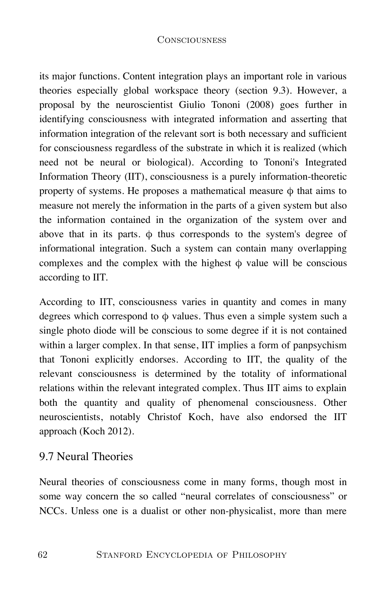its major functions. Content integration plays an important role in various theories especially global workspace theory (section 9.3). However, a proposal by the neuroscientist Giulio Tononi (2008) goes further in identifying consciousness with integrated information and asserting that information integration of the relevant sort is both necessary and sufficient for consciousness regardless of the substrate in which it is realized (which need not be neural or biological). According to Tononi's Integrated Information Theory (IIT), consciousness is a purely information-theoretic property of systems. He proposes a mathematical measure  $\phi$  that aims to measure not merely the information in the parts of a given system but also the information contained in the organization of the system over and above that in its parts.  $\phi$  thus corresponds to the system's degree of informational integration. Such a system can contain many overlapping complexes and the complex with the highest  $\phi$  value will be conscious according to IIT.

According to IIT, consciousness varies in quantity and comes in many degrees which correspond to  $\phi$  values. Thus even a simple system such a single photo diode will be conscious to some degree if it is not contained within a larger complex. In that sense, IIT implies a form of panpsychism that Tononi explicitly endorses. According to IIT, the quality of the relevant consciousness is determined by the totality of informational relations within the relevant integrated complex. Thus IIT aims to explain both the quantity and quality of phenomenal consciousness. Other neuroscientists, notably Christof Koch, have also endorsed the IIT approach (Koch 2012).

# 9.7 Neural Theories

Neural theories of consciousness come in many forms, though most in some way concern the so called "neural correlates of consciousness" or NCCs. Unless one is a dualist or other non-physicalist, more than mere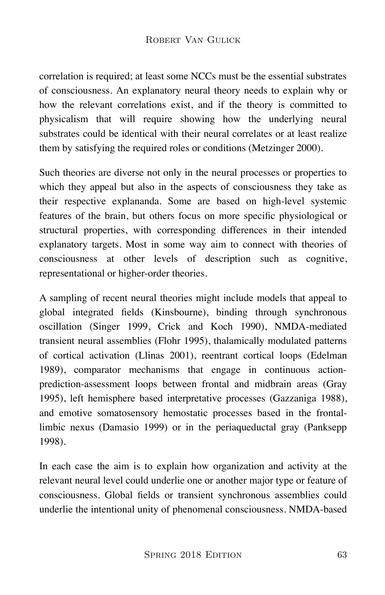correlation is required; at least some NCCs must be the essential substrates of consciousness. An explanatory neural theory needs to explain why or how the relevant correlations exist, and if the theory is committed to physicalism that will require showing how the underlying neural substrates could be identical with their neural correlates or at least realize them by satisfying the required roles or conditions (Metzinger 2000).

Such theories are diverse not only in the neural processes or properties to which they appeal but also in the aspects of consciousness they take as their respective explananda. Some are based on high-level systemic features of the brain, but others focus on more specific physiological or structural properties, with corresponding differences in their intended explanatory targets. Most in some way aim to connect with theories of consciousness at other levels of description such as cognitive, representational or higher-order theories.

A sampling of recent neural theories might include models that appeal to global integrated fields (Kinsbourne), binding through synchronous oscillation (Singer 1999, Crick and Koch 1990), NMDA-mediated transient neural assemblies (Flohr 1995), thalamically modulated patterns of cortical activation (Llinas 2001), reentrant cortical loops (Edelman 1989), comparator mechanisms that engage in continuous actionprediction-assessment loops between frontal and midbrain areas (Gray 1995), left hemisphere based interpretative processes (Gazzaniga 1988), and emotive somatosensory hemostatic processes based in the frontallimbic nexus (Damasio 1999) or in the periaqueductal gray (Panksepp 1998).

In each case the aim is to explain how organization and activity at the relevant neural level could underlie one or another major type or feature of consciousness. Global fields or transient synchronous assemblies could underlie the intentional unity of phenomenal consciousness. NMDA-based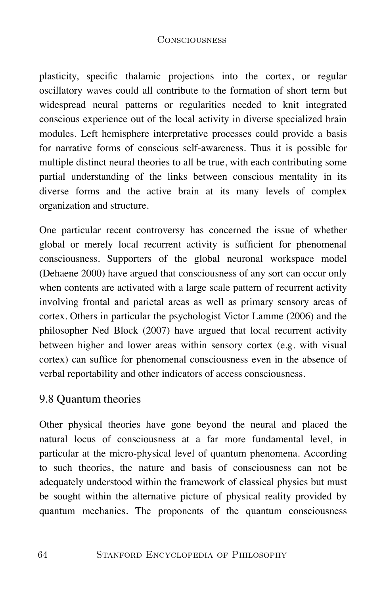plasticity, specific thalamic projections into the cortex, or regular oscillatory waves could all contribute to the formation of short term but widespread neural patterns or regularities needed to knit integrated conscious experience out of the local activity in diverse specialized brain modules. Left hemisphere interpretative processes could provide a basis for narrative forms of conscious self-awareness. Thus it is possible for multiple distinct neural theories to all be true, with each contributing some partial understanding of the links between conscious mentality in its diverse forms and the active brain at its many levels of complex organization and structure.

One particular recent controversy has concerned the issue of whether global or merely local recurrent activity is sufficient for phenomenal consciousness. Supporters of the global neuronal workspace model (Dehaene 2000) have argued that consciousness of any sort can occur only when contents are activated with a large scale pattern of recurrent activity involving frontal and parietal areas as well as primary sensory areas of cortex. Others in particular the psychologist Victor Lamme (2006) and the philosopher Ned Block (2007) have argued that local recurrent activity between higher and lower areas within sensory cortex (e.g. with visual cortex) can suffice for phenomenal consciousness even in the absence of verbal reportability and other indicators of access consciousness.

# 9.8 Quantum theories

Other physical theories have gone beyond the neural and placed the natural locus of consciousness at a far more fundamental level, in particular at the micro-physical level of quantum phenomena. According to such theories, the nature and basis of consciousness can not be adequately understood within the framework of classical physics but must be sought within the alternative picture of physical reality provided by quantum mechanics. The proponents of the quantum consciousness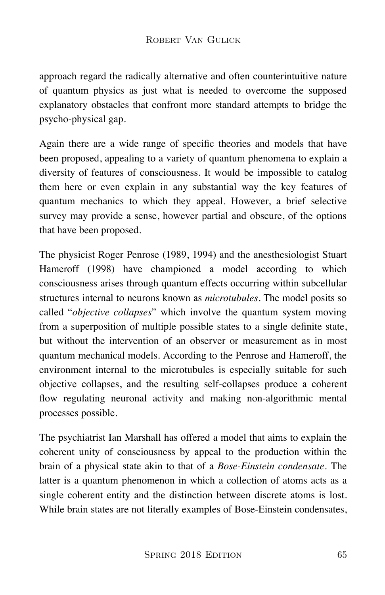approach regard the radically alternative and often counterintuitive nature of quantum physics as just what is needed to overcome the supposed explanatory obstacles that confront more standard attempts to bridge the psycho-physical gap.

Again there are a wide range of specific theories and models that have been proposed, appealing to a variety of quantum phenomena to explain a diversity of features of consciousness. It would be impossible to catalog them here or even explain in any substantial way the key features of quantum mechanics to which they appeal. However, a brief selective survey may provide a sense, however partial and obscure, of the options that have been proposed.

The physicist Roger Penrose (1989, 1994) and the anesthesiologist Stuart Hameroff (1998) have championed a model according to which consciousness arises through quantum effects occurring within subcellular structures internal to neurons known as *microtubules*. The model posits so called "*objective collapses*" which involve the quantum system moving from a superposition of multiple possible states to a single definite state, but without the intervention of an observer or measurement as in most quantum mechanical models. According to the Penrose and Hameroff, the environment internal to the microtubules is especially suitable for such objective collapses, and the resulting self-collapses produce a coherent flow regulating neuronal activity and making non-algorithmic mental processes possible.

The psychiatrist Ian Marshall has offered a model that aims to explain the coherent unity of consciousness by appeal to the production within the brain of a physical state akin to that of a *Bose-Einstein condensate*. The latter is a quantum phenomenon in which a collection of atoms acts as a single coherent entity and the distinction between discrete atoms is lost. While brain states are not literally examples of Bose-Einstein condensates,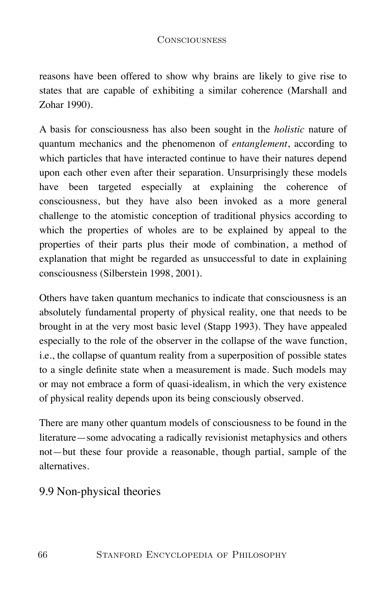reasons have been offered to show why brains are likely to give rise to states that are capable of exhibiting a similar coherence (Marshall and Zohar 1990).

A basis for consciousness has also been sought in the *holistic* nature of quantum mechanics and the phenomenon of *entanglement*, according to which particles that have interacted continue to have their natures depend upon each other even after their separation. Unsurprisingly these models have been targeted especially at explaining the coherence of consciousness, but they have also been invoked as a more general challenge to the atomistic conception of traditional physics according to which the properties of wholes are to be explained by appeal to the properties of their parts plus their mode of combination, a method of explanation that might be regarded as unsuccessful to date in explaining consciousness (Silberstein 1998, 2001).

Others have taken quantum mechanics to indicate that consciousness is an absolutely fundamental property of physical reality, one that needs to be brought in at the very most basic level (Stapp 1993). They have appealed especially to the role of the observer in the collapse of the wave function, i.e., the collapse of quantum reality from a superposition of possible states to a single definite state when a measurement is made. Such models may or may not embrace a form of quasi-idealism, in which the very existence of physical reality depends upon its being consciously observed.

There are many other quantum models of consciousness to be found in the literature—some advocating a radically revisionist metaphysics and others not—but these four provide a reasonable, though partial, sample of the alternatives.

# 9.9 Non-physical theories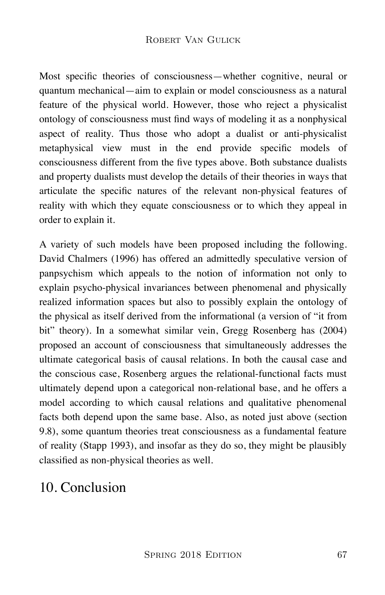Most specific theories of consciousness—whether cognitive, neural or quantum mechanical—aim to explain or model consciousness as a natural feature of the physical world. However, those who reject a physicalist ontology of consciousness must find ways of modeling it as a nonphysical aspect of reality. Thus those who adopt a dualist or anti-physicalist metaphysical view must in the end provide specific models of consciousness different from the five types above. Both substance dualists and property dualists must develop the details of their theories in ways that articulate the specific natures of the relevant non-physical features of reality with which they equate consciousness or to which they appeal in order to explain it.

A variety of such models have been proposed including the following. David Chalmers (1996) has offered an admittedly speculative version of panpsychism which appeals to the notion of information not only to explain psycho-physical invariances between phenomenal and physically realized information spaces but also to possibly explain the ontology of the physical as itself derived from the informational (a version of "it from bit" theory). In a somewhat similar vein, Gregg Rosenberg has (2004) proposed an account of consciousness that simultaneously addresses the ultimate categorical basis of causal relations. In both the causal case and the conscious case, Rosenberg argues the relational-functional facts must ultimately depend upon a categorical non-relational base, and he offers a model according to which causal relations and qualitative phenomenal facts both depend upon the same base. Also, as noted just above (section 9.8), some quantum theories treat consciousness as a fundamental feature of reality (Stapp 1993), and insofar as they do so, they might be plausibly classified as non-physical theories as well.

# 10. Conclusion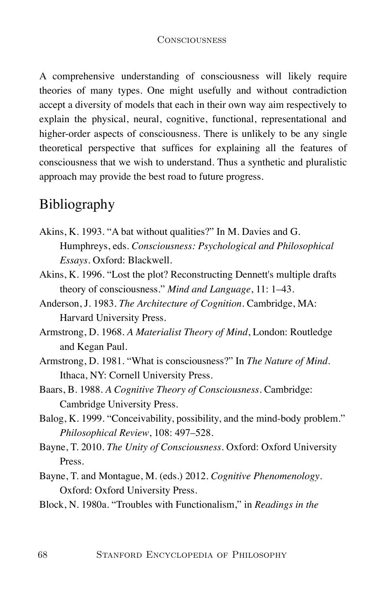A comprehensive understanding of consciousness will likely require theories of many types. One might usefully and without contradiction accept a diversity of models that each in their own way aim respectively to explain the physical, neural, cognitive, functional, representational and higher-order aspects of consciousness. There is unlikely to be any single theoretical perspective that suffices for explaining all the features of consciousness that we wish to understand. Thus a synthetic and pluralistic approach may provide the best road to future progress.

# Bibliography

- Akins, K. 1993. "A bat without qualities?" In M. Davies and G. Humphreys, eds. *Consciousness: Psychological and Philosophical Essays*. Oxford: Blackwell.
- Akins, K. 1996. "Lost the plot? Reconstructing Dennett's multiple drafts theory of consciousness." *Mind and Language*, 11: 1–43.
- Anderson, J. 1983. *The Architecture of Cognition*. Cambridge, MA: Harvard University Press.
- Armstrong, D. 1968. *A Materialist Theory of Mind*, London: Routledge and Kegan Paul.
- Armstrong, D. 1981. "What is consciousness?" In *The Nature of Mind*. Ithaca, NY: Cornell University Press.
- Baars, B. 1988. *A Cognitive Theory of Consciousness*. Cambridge: Cambridge University Press.
- Balog, K. 1999. "Conceivability, possibility, and the mind-body problem." *Philosophical Review*, 108: 497–528.
- Bayne, T. 2010. *The Unity of Consciousness*. Oxford: Oxford University Press.
- Bayne, T. and Montague, M. (eds.) 2012. *Cognitive Phenomenology*. Oxford: Oxford University Press.
- Block, N. 1980a. "Troubles with Functionalism," in *Readings in the*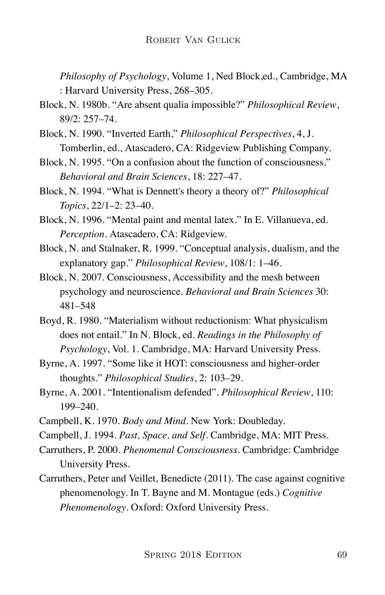*Philosophy of Psychology*, Volume 1, Ned Block,ed., Cambridge, MA : Harvard University Press, 268–305.

- Block, N. 1980b. "Are absent qualia impossible?" *Philosophical Review*, 89/2: 257–74.
- Block, N. 1990. "Inverted Earth," *Philosophical Perspectives*, 4, J. Tomberlin, ed., Atascadero, CA: Ridgeview Publishing Company.
- Block, N. 1995. "On a confusion about the function of consciousness." *Behavioral and Brain Sciences*, 18: 227–47.
- Block, N. 1994. "What is Dennett's theory a theory of?" *Philosophical Topics*, 22/1–2: 23–40.
- Block, N. 1996. "Mental paint and mental latex." In E. Villanueva, ed. *Perception*. Atascadero, CA: Ridgeview.
- Block, N. and Stalnaker, R. 1999. "Conceptual analysis, dualism, and the explanatory gap." *Philosophical Review*, 108/1: 1–46.
- Block, N. 2007. Consciousness, Accessibility and the mesh between psychology and neuroscience. *Behavioral and Brain Sciences* 30: 481–548
- Boyd, R. 1980. "Materialism without reductionism: What physicalism does not entail." In N. Block, ed. *Readings in the Philosophy of Psychology*, Vol. 1. Cambridge, MA: Harvard University Press.
- Byrne, A. 1997. "Some like it HOT: consciousness and higher-order thoughts." *Philosophical Studies*, 2: 103–29.
- Byrne, A. 2001. "Intentionalism defended". *Philosophical Review*, 110: 199–240.
- Campbell, K. 1970. *Body and Mind*. New York: Doubleday.
- Campbell, J. 1994. *Past, Space, and Self*. Cambridge, MA: MIT Press.
- Carruthers, P. 2000. *Phenomenal Consciousness*. Cambridge: Cambridge University Press.
- Carruthers, Peter and Veillet, Benedicte (2011). The case against cognitive phenomenology. In T. Bayne and M. Montague (eds.) *Cognitive Phenomenology*. Oxford: Oxford University Press.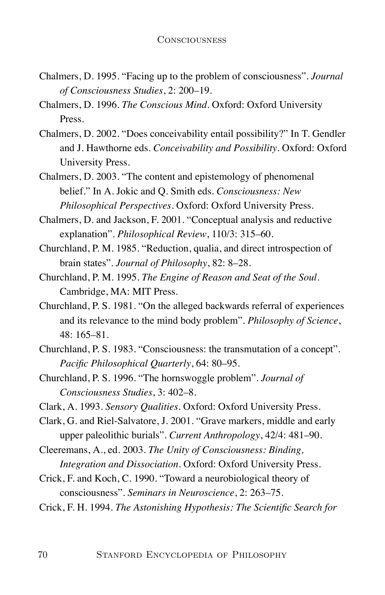- Chalmers, D. 1995. "Facing up to the problem of consciousness". *Journal of Consciousness Studies*, 2: 200–19.
- Chalmers, D. 1996. *The Conscious Mind*. Oxford: Oxford University Press.
- Chalmers, D. 2002. "Does conceivability entail possibility?" In T. Gendler and J. Hawthorne eds. *Conceivability and Possibility*. Oxford: Oxford University Press.
- Chalmers, D. 2003. "The content and epistemology of phenomenal belief." In A. Jokic and Q. Smith eds. *Consciousness: New Philosophical Perspectives*. Oxford: Oxford University Press.
- Chalmers, D. and Jackson, F. 2001. "Conceptual analysis and reductive explanation". *Philosophical Review*, 110/3: 315–60.
- Churchland, P. M. 1985. "Reduction, qualia, and direct introspection of brain states". *Journal of Philosophy*, 82: 8–28.
- Churchland, P. M. 1995. *The Engine of Reason and Seat of the Soul*. Cambridge, MA: MIT Press.
- Churchland, P. S. 1981. "On the alleged backwards referral of experiences and its relevance to the mind body problem". *Philosophy of Science*, 48: 165–81.
- Churchland, P. S. 1983. "Consciousness: the transmutation of a concept". *Pacific Philosophical Quarterly*, 64: 80–95.
- Churchland, P. S. 1996. "The hornswoggle problem". *Journal of Consciousness Studies*, 3: 402–8.
- Clark, A. 1993. *Sensory Qualities*. Oxford: Oxford University Press.
- Clark, G. and Riel-Salvatore, J. 2001. "Grave markers, middle and early upper paleolithic burials". *Current Anthropology*, 42/4: 481–90.
- Cleeremans, A., ed. 2003. *The Unity of Consciousness: Binding, Integration and Dissociation*. Oxford: Oxford University Press.
- Crick, F. and Koch, C. 1990. "Toward a neurobiological theory of consciousness". *Seminars in Neuroscience*, 2: 263–75.
- Crick, F. H. 1994. *The Astonishing Hypothesis: The Scientific Search for*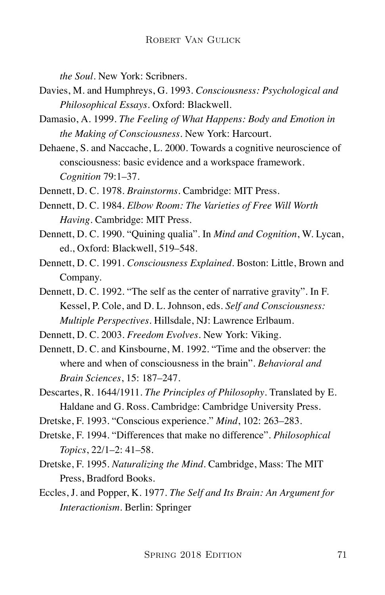*the Soul*. New York: Scribners.

- Davies, M. and Humphreys, G. 1993. *Consciousness: Psychological and Philosophical Essays*. Oxford: Blackwell.
- Damasio, A. 1999. *The Feeling of What Happens: Body and Emotion in the Making of Consciousness*. New York: Harcourt.
- Dehaene, S. and Naccache, L. 2000. Towards a cognitive neuroscience of consciousness: basic evidence and a workspace framework. *Cognition* 79:1–37.
- Dennett, D. C. 1978. *Brainstorms*. Cambridge: MIT Press.
- Dennett, D. C. 1984. *Elbow Room: The Varieties of Free Will Worth Having*. Cambridge: MIT Press.
- Dennett, D. C. 1990. "Quining qualia". In *Mind and Cognition*, W. Lycan, ed., Oxford: Blackwell, 519–548.
- Dennett, D. C. 1991. *Consciousness Explained*. Boston: Little, Brown and Company.
- Dennett, D. C. 1992. "The self as the center of narrative gravity". In F. Kessel, P. Cole, and D. L. Johnson, eds. *Self and Consciousness: Multiple Perspectives*. Hillsdale, NJ: Lawrence Erlbaum.
- Dennett, D. C. 2003. *Freedom Evolves*. New York: Viking.
- Dennett, D. C. and Kinsbourne, M. 1992. "Time and the observer: the where and when of consciousness in the brain". *Behavioral and Brain Sciences*, 15: 187–247.
- Descartes, R. 1644/1911. *The Principles of Philosophy*. Translated by E. Haldane and G. Ross. Cambridge: Cambridge University Press.
- Dretske, F. 1993. "Conscious experience." *Mind*, 102: 263–283.
- Dretske, F. 1994. "Differences that make no difference". *Philosophical Topics*, 22/1–2: 41–58.
- Dretske, F. 1995. *Naturalizing the Mind*. Cambridge, Mass: The MIT Press, Bradford Books.
- Eccles, J. and Popper, K. 1977. *The Self and Its Brain: An Argument for Interactionism*. Berlin: Springer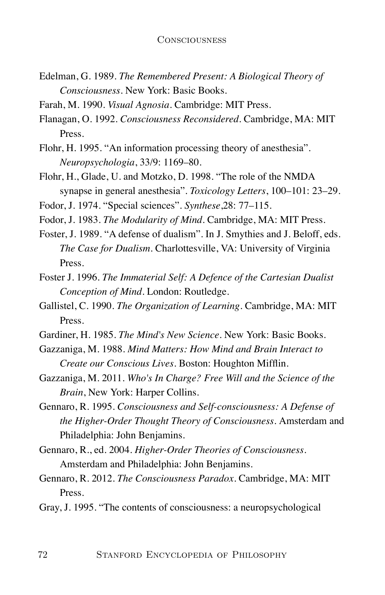- Edelman, G. 1989. *The Remembered Present: A Biological Theory of Consciousness*. New York: Basic Books.
- Farah, M. 1990. *Visual Agnosia*. Cambridge: MIT Press.
- Flanagan, O. 1992. *Consciousness Reconsidered*. Cambridge, MA: MIT Press.
- Flohr, H. 1995. "An information processing theory of anesthesia". *Neuropsychologia*, 33/9: 1169–80.
- Flohr, H., Glade, U. and Motzko, D. 1998. "The role of the NMDA synapse in general anesthesia". *Toxicology Letters*, 100–101: 23–29.
- Fodor, J. 1974. "Special sciences". *Synthese*,28: 77–115.
- Fodor, J. 1983. *The Modularity of Mind*. Cambridge, MA: MIT Press.
- Foster, J. 1989. "A defense of dualism". In J. Smythies and J. Beloff, eds. *The Case for Dualism*. Charlottesville, VA: University of Virginia Press.
- Foster J. 1996. *The Immaterial Self: A Defence of the Cartesian Dualist Conception of Mind*. London: Routledge.
- Gallistel, C. 1990. *The Organization of Learning*. Cambridge, MA: MIT Press.
- Gardiner, H. 1985. *The Mind's New Science*. New York: Basic Books.
- Gazzaniga, M. 1988. *Mind Matters: How Mind and Brain Interact to Create our Conscious Lives*. Boston: Houghton Mifflin.
- Gazzaniga, M. 2011. *Who's In Charge? Free Will and the Science of the Brain*, New York: Harper Collins.
- Gennaro, R. 1995. *Consciousness and Self-consciousness: A Defense of the Higher-Order Thought Theory of Consciousness*. Amsterdam and Philadelphia: John Benjamins.
- Gennaro, R., ed. 2004. *Higher-Order Theories of Consciousness*. Amsterdam and Philadelphia: John Benjamins.
- Gennaro, R. 2012. *The Consciousness Paradox*. Cambridge, MA: MIT Press.
- Gray, J. 1995. "The contents of consciousness: a neuropsychological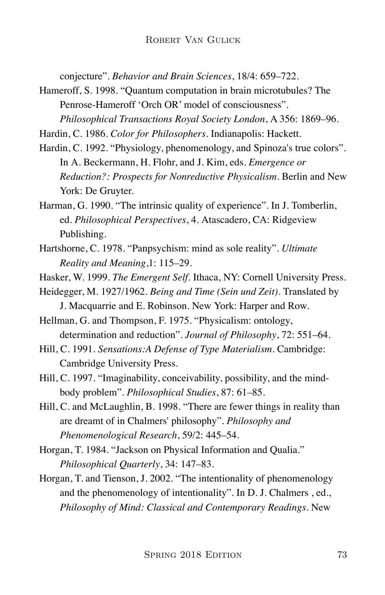conjecture". *Behavior and Brain Sciences*, 18/4: 659–722.

Hameroff, S. 1998. "Quantum computation in brain microtubules? The Penrose-Hameroff 'Orch OR' model of consciousness". *Philosophical Transactions Royal Society London*, A 356: 1869–96.

Hardin, C. 1986. *Color for Philosophers*. Indianapolis: Hackett.

- Hardin, C. 1992. "Physiology, phenomenology, and Spinoza's true colors". In A. Beckermann, H. Flohr, and J. Kim, eds. *Emergence or Reduction?: Prospects for Nonreductive Physicalism*. Berlin and New York: De Gruyter.
- Harman, G. 1990. "The intrinsic quality of experience". In J. Tomberlin, ed. *Philosophical Perspectives*, 4. Atascadero, CA: Ridgeview Publishing.
- Hartshorne, C. 1978. "Panpsychism: mind as sole reality". *Ultimate Reality and Meaning*,1: 115–29.
- Hasker, W. 1999. *The Emergent Self*. Ithaca, NY: Cornell University Press.
- Heidegger, M. 1927/1962. *Being and Time (Sein und Zeit)*. Translated by J. Macquarrie and E. Robinson. New York: Harper and Row.
- Hellman, G. and Thompson, F. 1975. "Physicalism: ontology, determination and reduction". *Journal of Philosophy*, 72: 551–64.
- Hill, C. 1991. *Sensations:A Defense of Type Materialism*. Cambridge: Cambridge University Press.
- Hill, C. 1997. "Imaginability, conceivability, possibility, and the mindbody problem". *Philosophical Studies*, 87: 61–85.
- Hill, C. and McLaughlin, B. 1998. "There are fewer things in reality than are dreamt of in Chalmers' philosophy". *Philosophy and Phenomenological Research*, 59/2: 445–54.
- Horgan, T. 1984. "Jackson on Physical Information and Qualia." *Philosophical Quarterly*, 34: 147–83.
- Horgan, T. and Tienson, J. 2002. "The intentionality of phenomenology and the phenomenology of intentionality". In D. J. Chalmers , ed., *Philosophy of Mind: Classical and Contemporary Readings*. New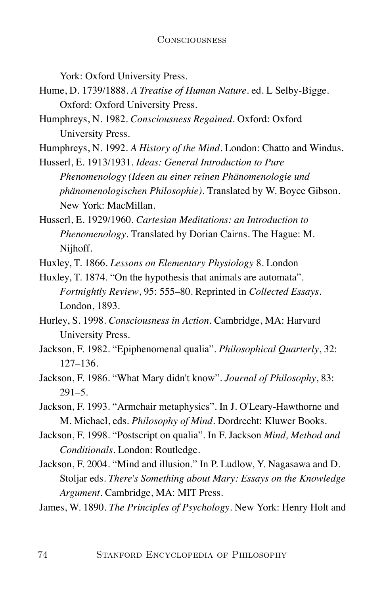York: Oxford University Press.

- Hume, D. 1739/1888. *A Treatise of Human Nature*. ed. L Selby-Bigge. Oxford: Oxford University Press.
- Humphreys, N. 1982. *Consciousness Regained*. Oxford: Oxford University Press.
- Humphreys, N. 1992. *A History of the Mind*. London: Chatto and Windus.

Husserl, E. 1913/1931. *Ideas: General Introduction to Pure Phenomenology (Ideen au einer reinen Phänomenologie und phänomenologischen Philosophie)*. Translated by W. Boyce Gibson. New York: MacMillan.

Husserl, E. 1929/1960. *Cartesian Meditations: an Introduction to Phenomenology*. Translated by Dorian Cairns. The Hague: M. Nijhoff.

Huxley, T. 1866. *Lessons on Elementary Physiology* 8. London

Huxley, T. 1874. "On the hypothesis that animals are automata". *Fortnightly Review*, 95: 555–80. Reprinted in *Collected Essays*. London, 1893.

- Hurley, S. 1998. *Consciousness in Action*. Cambridge, MA: Harvard University Press.
- Jackson, F. 1982. "Epiphenomenal qualia". *Philosophical Quarterly*, 32: 127–136.
- Jackson, F. 1986. "What Mary didn't know". *Journal of Philosophy*, 83:  $291 - 5$ .
- Jackson, F. 1993. "Armchair metaphysics". In J. O'Leary-Hawthorne and M. Michael, eds. *Philosophy of Mind*. Dordrecht: Kluwer Books.
- Jackson, F. 1998. "Postscript on qualia". In F. Jackson *Mind, Method and Conditionals*. London: Routledge.
- Jackson, F. 2004. "Mind and illusion." In P. Ludlow, Y. Nagasawa and D. Stoljar eds. *There's Something about Mary: Essays on the Knowledge Argument*. Cambridge, MA: MIT Press.

James, W. 1890. *The Principles of Psychology*. New York: Henry Holt and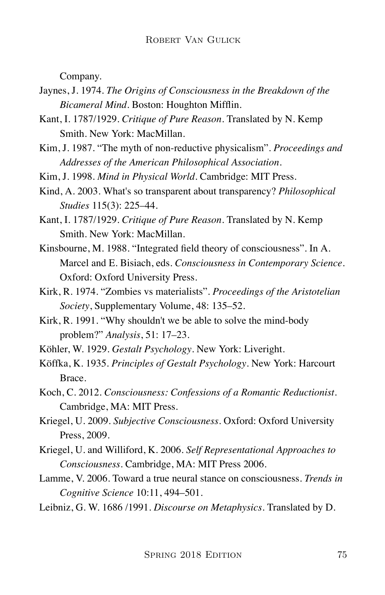Company.

- Jaynes, J. 1974. *The Origins of Consciousness in the Breakdown of the Bicameral Mind*. Boston: Houghton Mifflin.
- Kant, I. 1787/1929. *Critique of Pure Reason*. Translated by N. Kemp Smith. New York: MacMillan.
- Kim, J. 1987. "The myth of non-reductive physicalism". *Proceedings and Addresses of the American Philosophical Association*.
- Kim, J. 1998. *Mind in Physical World*. Cambridge: MIT Press.
- Kind, A. 2003. What's so transparent about transparency? *Philosophical Studies* 115(3): 225–44.
- Kant, I. 1787/1929. *Critique of Pure Reason*. Translated by N. Kemp Smith. New York: MacMillan.
- Kinsbourne, M. 1988. "Integrated field theory of consciousness". In A. Marcel and E. Bisiach, eds. *Consciousness in Contemporary Science*. Oxford: Oxford University Press.
- Kirk, R. 1974. "Zombies vs materialists". *Proceedings of the Aristotelian Society*, Supplementary Volume, 48: 135–52.
- Kirk, R. 1991. "Why shouldn't we be able to solve the mind-body problem?" *Analysis*, 51: 17–23.
- Köhler, W. 1929. *Gestalt Psychology*. New York: Liveright.
- Köffka, K. 1935. *Principles of Gestalt Psychology*. New York: Harcourt Brace.
- Koch, C. 2012. *Consciousness: Confessions of a Romantic Reductionist*. Cambridge, MA: MIT Press.
- Kriegel, U. 2009. *Subjective Consciousness*. Oxford: Oxford University Press, 2009.
- Kriegel, U. and Williford, K. 2006. *Self Representational Approaches to Consciousness*. Cambridge, MA: MIT Press 2006.
- Lamme, V. 2006. Toward a true neural stance on consciousness. *Trends in Cognitive Science* 10:11, 494–501.
- Leibniz, G. W. 1686 /1991. *Discourse on Metaphysics*. Translated by D.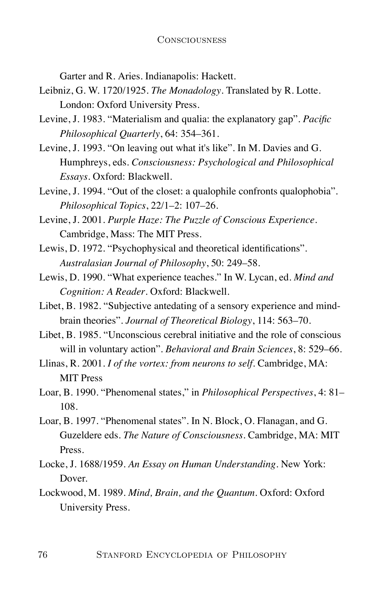Garter and R. Aries. Indianapolis: Hackett.

- Leibniz, G. W. 1720/1925. *The Monadology*. Translated by R. Lotte. London: Oxford University Press.
- Levine, J. 1983. "Materialism and qualia: the explanatory gap". *Pacific Philosophical Quarterly*, 64: 354–361.
- Levine, J. 1993. "On leaving out what it's like". In M. Davies and G. Humphreys, eds. *Consciousness: Psychological and Philosophical Essays*. Oxford: Blackwell.
- Levine, J. 1994. "Out of the closet: a qualophile confronts qualophobia". *Philosophical Topics*, 22/1–2: 107–26.
- Levine, J. 2001. *Purple Haze: The Puzzle of Conscious Experience*. Cambridge, Mass: The MIT Press.
- Lewis, D. 1972. "Psychophysical and theoretical identifications". *Australasian Journal of Philosophy*, 50: 249–58.
- Lewis, D. 1990. "What experience teaches." In W. Lycan, ed. *Mind and Cognition: A Reader*. Oxford: Blackwell.
- Libet, B. 1982. "Subjective antedating of a sensory experience and mindbrain theories". *Journal of Theoretical Biology*, 114: 563–70.
- Libet, B. 1985. "Unconscious cerebral initiative and the role of conscious will in voluntary action". *Behavioral and Brain Sciences*, 8: 529–66.
- Llinas, R. 2001. *I of the vortex: from neurons to self*. Cambridge, MA: MIT Press
- Loar, B. 1990. "Phenomenal states," in *Philosophical Perspectives*, 4: 81– 108.
- Loar, B. 1997. "Phenomenal states". In N. Block, O. Flanagan, and G. Guzeldere eds. *The Nature of Consciousness*. Cambridge, MA: MIT Press.
- Locke, J. 1688/1959. *An Essay on Human Understanding*. New York: Dover.
- Lockwood, M. 1989. *Mind, Brain, and the Quantum*. Oxford: Oxford University Press.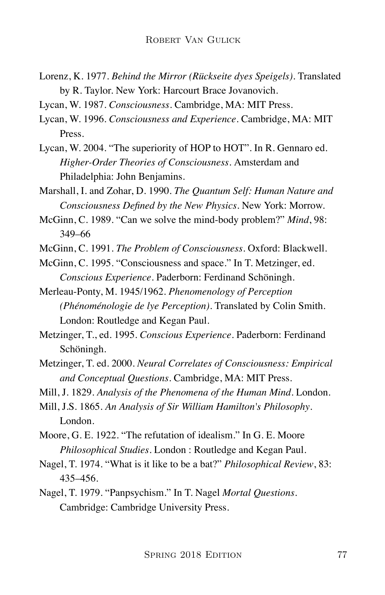- Lorenz, K. 1977. *Behind the Mirror (Rückseite dyes Speigels)*. Translated by R. Taylor. New York: Harcourt Brace Jovanovich.
- Lycan, W. 1987. *Consciousness*. Cambridge, MA: MIT Press.
- Lycan, W. 1996. *Consciousness and Experience*. Cambridge, MA: MIT Press.
- Lycan, W. 2004. "The superiority of HOP to HOT". In R. Gennaro ed. *Higher-Order Theories of Consciousness*. Amsterdam and Philadelphia: John Benjamins.
- Marshall, I. and Zohar, D. 1990. *The Quantum Self: Human Nature and Consciousness Defined by the New Physics*. New York: Morrow.
- McGinn, C. 1989. "Can we solve the mind-body problem?" *Mind*, 98: 349–66
- McGinn, C. 1991. *The Problem of Consciousness*. Oxford: Blackwell.
- McGinn, C. 1995. "Consciousness and space." In T. Metzinger, ed. *Conscious Experience*. Paderborn: Ferdinand Schöningh.
- Merleau-Ponty, M. 1945/1962. *Phenomenology of Perception (Phénoménologie de lye Perception)*. Translated by Colin Smith. London: Routledge and Kegan Paul.
- Metzinger, T., ed. 1995. *Conscious Experience*. Paderborn: Ferdinand Schöningh.
- Metzinger, T. ed. 2000. *Neural Correlates of Consciousness: Empirical and Conceptual Questions*. Cambridge, MA: MIT Press.
- Mill, J. 1829. *Analysis of the Phenomena of the Human Mind*. London.
- Mill, J.S. 1865. *An Analysis of Sir William Hamilton's Philosophy*. London.
- Moore, G. E. 1922. "The refutation of idealism." In G. E. Moore *Philosophical Studies*. London : Routledge and Kegan Paul.
- Nagel, T. 1974. "What is it like to be a bat?" *Philosophical Review*, 83: 435–456.
- Nagel, T. 1979. "Panpsychism." In T. Nagel *Mortal Questions*. Cambridge: Cambridge University Press.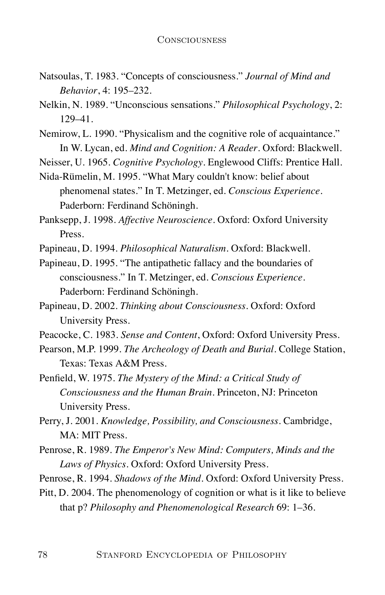- Natsoulas, T. 1983. "Concepts of consciousness." *Journal of Mind and Behavior*, 4: 195–232.
- Nelkin, N. 1989. "Unconscious sensations." *Philosophical Psychology*, 2: 129–41.
- Nemirow, L. 1990. "Physicalism and the cognitive role of acquaintance." In W. Lycan, ed. *Mind and Cognition: A Reader*. Oxford: Blackwell.

Neisser, U. 1965. *Cognitive Psychology*. Englewood Cliffs: Prentice Hall.

Nida-Rümelin, M. 1995. "What Mary couldn't know: belief about phenomenal states." In T. Metzinger, ed. *Conscious Experience*. Paderborn: Ferdinand Schöningh.

Panksepp, J. 1998. *Affective Neuroscience*. Oxford: Oxford University Press.

Papineau, D. 1994. *Philosophical Naturalism*. Oxford: Blackwell.

Papineau, D. 1995. "The antipathetic fallacy and the boundaries of consciousness." In T. Metzinger, ed. *Conscious Experience*. Paderborn: Ferdinand Schöningh.

Peacocke, C. 1983. *Sense and Content*, Oxford: Oxford University Press.

- Pearson, M.P. 1999. *The Archeology of Death and Burial*. College Station, Texas: Texas A&M Press.
- Penfield, W. 1975. *The Mystery of the Mind: a Critical Study of Consciousness and the Human Brain*. Princeton, NJ: Princeton University Press.
- Perry, J. 2001. *Knowledge, Possibility, and Consciousness*. Cambridge, MA: MIT Press.
- Penrose, R. 1989. *The Emperor's New Mind: Computers, Minds and the Laws of Physics*. Oxford: Oxford University Press.
- Penrose, R. 1994. *Shadows of the Mind*. Oxford: Oxford University Press.

Pitt, D. 2004. The phenomenology of cognition or what is it like to believe that p? *Philosophy and Phenomenological Research* 69: 1–36.

Papineau, D. 2002. *Thinking about Consciousness*. Oxford: Oxford University Press.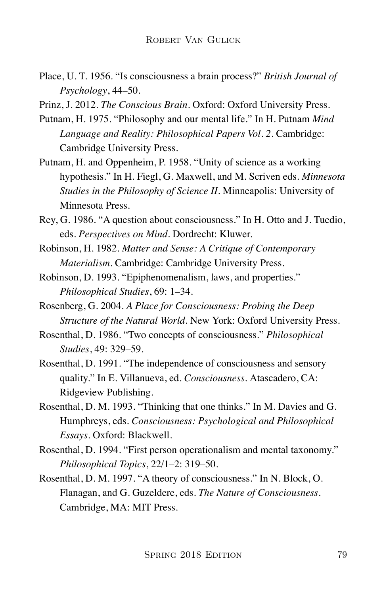Place, U. T. 1956. "Is consciousness a brain process?" *British Journal of Psychology*, 44–50.

Prinz, J. 2012. *The Conscious Brain*. Oxford: Oxford University Press.

- Putnam, H. 1975. "Philosophy and our mental life." In H. Putnam *Mind Language and Reality: Philosophical Papers Vol. 2*. Cambridge: Cambridge University Press.
- Putnam, H. and Oppenheim, P. 1958. "Unity of science as a working hypothesis." In H. Fiegl, G. Maxwell, and M. Scriven eds. *Minnesota Studies in the Philosophy of Science II*. Minneapolis: University of Minnesota Press.
- Rey, G. 1986. "A question about consciousness." In H. Otto and J. Tuedio, eds. *Perspectives on Mind*. Dordrecht: Kluwer.
- Robinson, H. 1982. *Matter and Sense: A Critique of Contemporary Materialism*. Cambridge: Cambridge University Press.
- Robinson, D. 1993. "Epiphenomenalism, laws, and properties." *Philosophical Studies*, 69: 1–34.
- Rosenberg, G. 2004. *A Place for Consciousness: Probing the Deep Structure of the Natural World*. New York: Oxford University Press.
- Rosenthal, D. 1986. "Two concepts of consciousness." *Philosophical Studies*, 49: 329–59.
- Rosenthal, D. 1991. "The independence of consciousness and sensory quality." In E. Villanueva, ed. *Consciousness*. Atascadero, CA: Ridgeview Publishing.
- Rosenthal, D. M. 1993. "Thinking that one thinks." In M. Davies and G. Humphreys, eds. *Consciousness: Psychological and Philosophical Essays*. Oxford: Blackwell.
- Rosenthal, D. 1994. "First person operationalism and mental taxonomy." *Philosophical Topics*, 22/1–2: 319–50.
- Rosenthal, D. M. 1997. "A theory of consciousness." In N. Block, O. Flanagan, and G. Guzeldere, eds. *The Nature of Consciousness*. Cambridge, MA: MIT Press.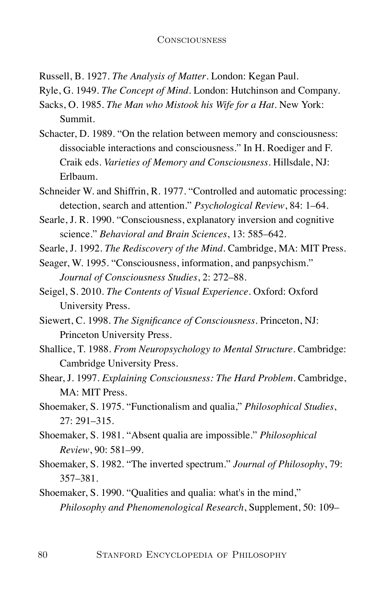Russell, B. 1927. *The Analysis of Matter*. London: Kegan Paul.

Ryle, G. 1949. *The Concept of Mind*. London: Hutchinson and Company.

- Sacks, O. 1985. *The Man who Mistook his Wife for a Hat*. New York: Summit.
- Schacter, D. 1989. "On the relation between memory and consciousness: dissociable interactions and consciousness." In H. Roediger and F. Craik eds. *Varieties of Memory and Consciousness*. Hillsdale, NJ: Erlbaum.
- Schneider W. and Shiffrin, R. 1977. "Controlled and automatic processing: detection, search and attention." *Psychological Review*, 84: 1–64.
- Searle, J. R. 1990. "Consciousness, explanatory inversion and cognitive science." *Behavioral and Brain Sciences*, 13: 585–642.
- Searle, J. 1992. *The Rediscovery of the Mind*. Cambridge, MA: MIT Press.
- Seager, W. 1995. "Consciousness, information, and panpsychism." *Journal of Consciousness Studies*, 2: 272–88.
- Seigel, S. 2010. *The Contents of Visual Experience*. Oxford: Oxford University Press.
- Siewert, C. 1998. *The Significance of Consciousness*. Princeton, NJ: Princeton University Press.
- Shallice, T. 1988. *From Neuropsychology to Mental Structure*. Cambridge: Cambridge University Press.
- Shear, J. 1997. *Explaining Consciousness: The Hard Problem*. Cambridge, MA: MIT Press.
- Shoemaker, S. 1975. "Functionalism and qualia," *Philosophical Studies*, 27: 291–315.
- Shoemaker, S. 1981. "Absent qualia are impossible." *Philosophical Review*, 90: 581–99.
- Shoemaker, S. 1982. "The inverted spectrum." *Journal of Philosophy*, 79: 357–381.
- Shoemaker, S. 1990. "Qualities and qualia: what's in the mind," *Philosophy and Phenomenological Research*, Supplement, 50: 109–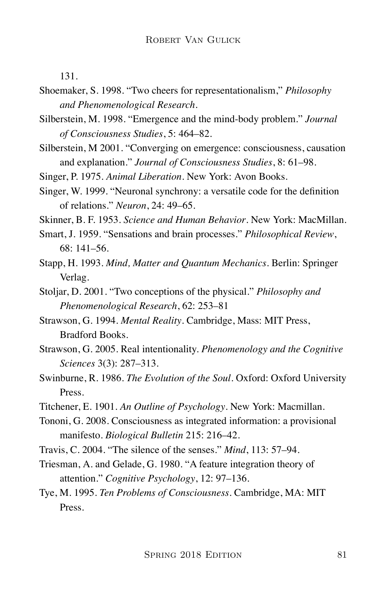131.

- Shoemaker, S. 1998. "Two cheers for representationalism," *Philosophy and Phenomenological Research*.
- Silberstein, M. 1998. "Emergence and the mind-body problem." *Journal of Consciousness Studies*, 5: 464–82.
- Silberstein, M 2001. "Converging on emergence: consciousness, causation and explanation." *Journal of Consciousness Studies*, 8: 61–98.
- Singer, P. 1975. *Animal Liberation*. New York: Avon Books.
- Singer, W. 1999. "Neuronal synchrony: a versatile code for the definition of relations." *Neuron*, 24: 49–65.

Skinner, B. F. 1953. *Science and Human Behavior*. New York: MacMillan.

- Smart, J. 1959. "Sensations and brain processes." *Philosophical Review*, 68: 141–56.
- Stapp, H. 1993. *Mind, Matter and Quantum Mechanics*. Berlin: Springer Verlag.
- Stoljar, D. 2001. "Two conceptions of the physical." *Philosophy and Phenomenological Research*, 62: 253–81
- Strawson, G. 1994. *Mental Reality*. Cambridge, Mass: MIT Press, Bradford Books.
- Strawson, G. 2005. Real intentionality. *Phenomenology and the Cognitive Sciences* 3(3): 287–313.
- Swinburne, R. 1986. *The Evolution of the Soul*. Oxford: Oxford University Press.
- Titchener, E. 1901. *An Outline of Psychology*. New York: Macmillan.
- Tononi, G. 2008. Consciousness as integrated information: a provisional manifesto. *Biological Bulletin* 215: 216–42.
- Travis, C. 2004. "The silence of the senses." *Mind*, 113: 57–94.
- Triesman, A. and Gelade, G. 1980. "A feature integration theory of attention." *Cognitive Psychology*, 12: 97–136.
- Tye, M. 1995. *Ten Problems of Consciousness*. Cambridge, MA: MIT Press.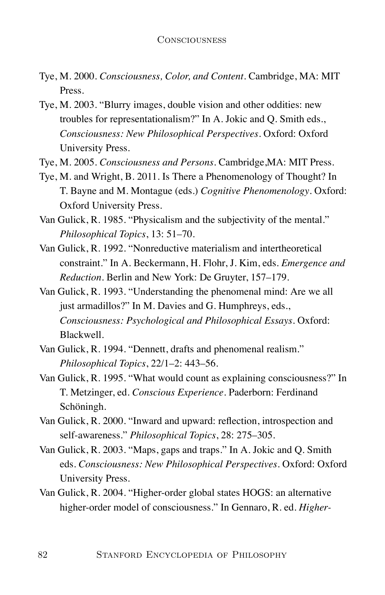- Tye, M. 2000. *Consciousness, Color, and Content*. Cambridge, MA: MIT Press.
- Tye, M. 2003. "Blurry images, double vision and other oddities: new troubles for representationalism?" In A. Jokic and Q. Smith eds., *Consciousness: New Philosophical Perspectives*. Oxford: Oxford University Press.
- Tye, M. 2005. *Consciousness and Persons*. Cambridge,MA: MIT Press.
- Tye, M. and Wright, B. 2011. Is There a Phenomenology of Thought? In T. Bayne and M. Montague (eds.) *Cognitive Phenomenology*. Oxford: Oxford University Press.
- Van Gulick, R. 1985. "Physicalism and the subjectivity of the mental." *Philosophical Topics*, 13: 51–70.
- Van Gulick, R. 1992. "Nonreductive materialism and intertheoretical constraint." In A. Beckermann, H. Flohr, J. Kim, eds. *Emergence and Reduction*. Berlin and New York: De Gruyter, 157–179.
- Van Gulick, R. 1993. "Understanding the phenomenal mind: Are we all just armadillos?" In M. Davies and G. Humphreys, eds., *Consciousness: Psychological and Philosophical Essays*. Oxford: Blackwell.
- Van Gulick, R. 1994. "Dennett, drafts and phenomenal realism." *Philosophical Topics*, 22/1–2: 443–56.
- Van Gulick, R. 1995. "What would count as explaining consciousness?" In T. Metzinger, ed. *Conscious Experience*. Paderborn: Ferdinand Schöningh.
- Van Gulick, R. 2000. "Inward and upward: reflection, introspection and self-awareness." *Philosophical Topics*, 28: 275–305.
- Van Gulick, R. 2003. "Maps, gaps and traps." In A. Jokic and Q. Smith eds. *Consciousness: New Philosophical Perspectives*. Oxford: Oxford University Press.
- Van Gulick, R. 2004. "Higher-order global states HOGS: an alternative higher-order model of consciousness." In Gennaro, R. ed. *Higher-*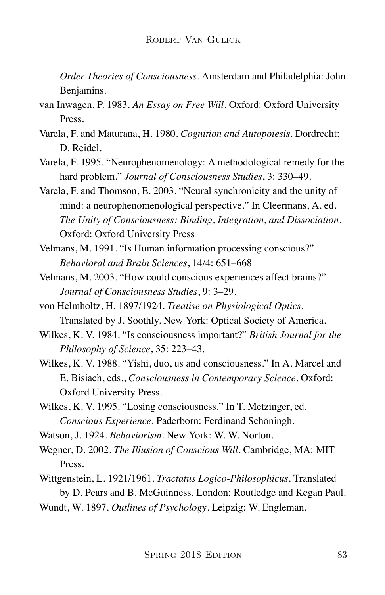*Order Theories of Consciousness*. Amsterdam and Philadelphia: John Benjamins.

- van Inwagen, P. 1983. *An Essay on Free Will*. Oxford: Oxford University Press.
- Varela, F. and Maturana, H. 1980. *Cognition and Autopoiesis*. Dordrecht: D. Reidel.
- Varela, F. 1995. "Neurophenomenology: A methodological remedy for the hard problem." *Journal of Consciousness Studies*, 3: 330–49.
- Varela, F. and Thomson, E. 2003. "Neural synchronicity and the unity of mind: a neurophenomenological perspective." In Cleermans, A. ed. *The Unity of Consciousness: Binding, Integration, and Dissociation*. Oxford: Oxford University Press
- Velmans, M. 1991. "Is Human information processing conscious?" *Behavioral and Brain Sciences*, 14/4: 651–668
- Velmans, M. 2003. "How could conscious experiences affect brains?" *Journal of Consciousness Studies*, 9: 3–29.
- von Helmholtz, H. 1897/1924. *Treatise on Physiological Optics*. Translated by J. Soothly. New York: Optical Society of America.
- Wilkes, K. V. 1984. "Is consciousness important?" *British Journal for the Philosophy of Science*, 35: 223–43.
- Wilkes, K. V. 1988. "Yishi, duo, us and consciousness." In A. Marcel and E. Bisiach, eds., *Consciousness in Contemporary Science*. Oxford: Oxford University Press.
- Wilkes, K. V. 1995. "Losing consciousness." In T. Metzinger, ed. *Conscious Experience*. Paderborn: Ferdinand Schöningh.
- Watson, J. 1924. *Behaviorism*. New York: W. W. Norton.
- Wegner, D. 2002. *The Illusion of Conscious Will*. Cambridge, MA: MIT Press.
- Wittgenstein, L. 1921/1961. *Tractatus Logico-Philosophicus*. Translated by D. Pears and B. McGuinness. London: Routledge and Kegan Paul.
- Wundt, W. 1897. *Outlines of Psychology*. Leipzig: W. Engleman.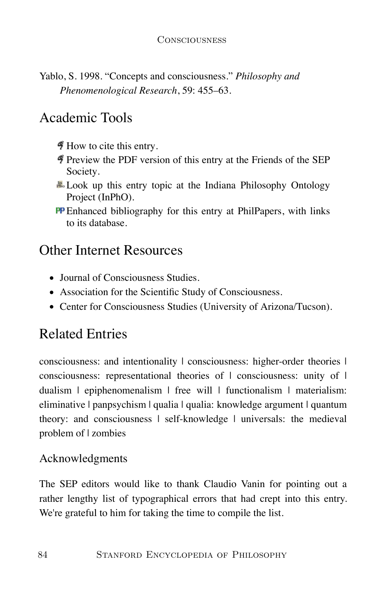Yablo, S. 1998. "Concepts and consciousness." *Philosophy and Phenomenological Research*, 59: 455–63.

## Academic Tools

 $\ddot{\mathcal{F}}$  How to cite this entry.

- Preview the PDF version of this entry at the Friends of the SEP Society.
- **...** Look up this entry topic at the Indiana Philosophy Ontology Project (InPhO).
- **PP** Enhanced bibliography for this entry at PhilPapers, with links to its database.

## Other Internet Resources

- Journal of Consciousness Studies.
- Association for the Scientific Study of Consciousness.
- Center for Consciousness Studies (University of Arizona/Tucson).

# Related Entries

consciousness: and intentionality | consciousness: higher-order theories | consciousness: representational theories of  $\vert$  consciousness: unity of  $\vert$ dualism | epiphenomenalism | free will | functionalism | materialism: eliminative | panpsychism | qualia | qualia: knowledge argument | quantum theory: and consciousness | self-knowledge | universals: the medieval problem of | zombies

### Acknowledgments

The SEP editors would like to thank Claudio Vanin for pointing out a rather lengthy list of typographical errors that had crept into this entry. We're grateful to him for taking the time to compile the list.